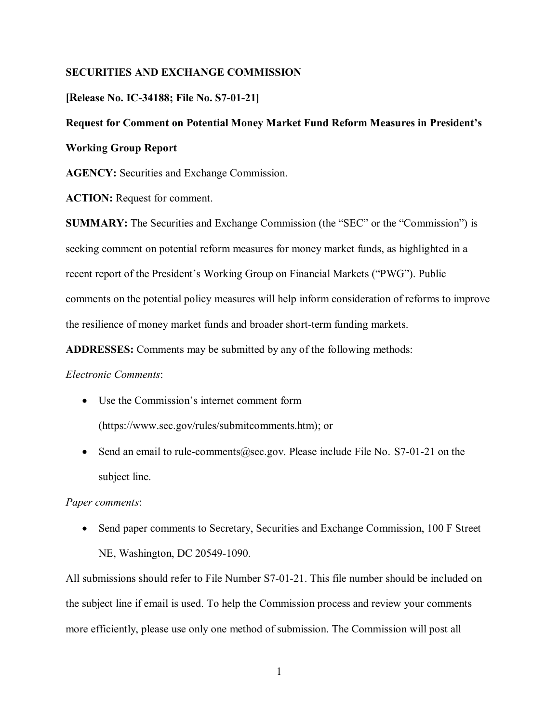# **SECURITIES AND EXCHANGE COMMISSION**

# **[Release No. IC-34188; File No. S7-01-21]**

# **Request for Comment on Potential Money Market Fund Reform Measures in President's Working Group Report**

**AGENCY:** Securities and Exchange Commission.

**ACTION:** Request for comment.

**SUMMARY:** The Securities and Exchange Commission (the "SEC" or the "Commission") is seeking comment on potential reform measures for money market funds, as highlighted in a recent report of the President's Working Group on Financial Markets ("PWG"). Public comments on the potential policy measures will help inform consideration of reforms to improve the resilience of money market funds and broader short-term funding markets.

**ADDRESSES:** Comments may be submitted by any of the following methods:

### *Electronic Comments*:

- Use the Commission's internet comment form (https://www.sec.gov/rules/submitcomments.htm); or
- Send an email to rule-comments@sec.gov. Please include File No. S7-01-21 on the subject line.

### *Paper comments*:

• Send paper comments to Secretary, Securities and Exchange Commission, 100 F Street NE, Washington, DC 20549-1090.

All submissions should refer to File Number S7-01-21. This file number should be included on the subject line if email is used. To help the Commission process and review your comments more efficiently, please use only one method of submission. The Commission will post all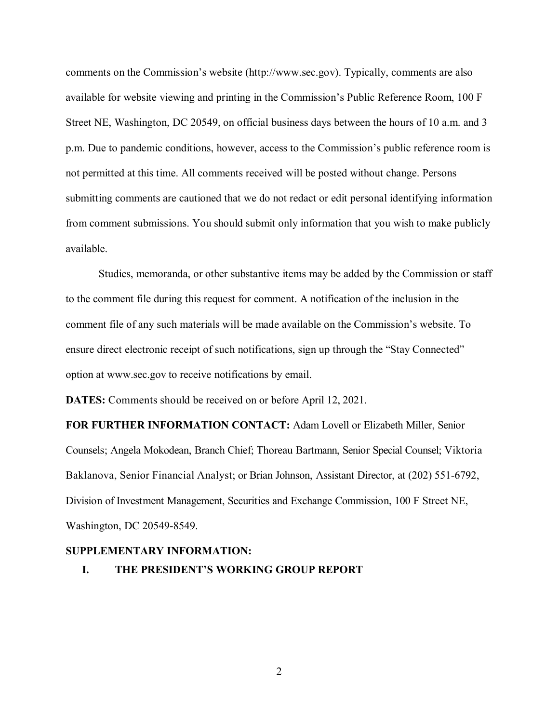comments on the Commission's website (http://www.sec.gov). Typically, comments are also available for website viewing and printing in the Commission's Public Reference Room, 100 F Street NE, Washington, DC 20549, on official business days between the hours of 10 a.m. and 3 p.m. Due to pandemic conditions, however, access to the Commission's public reference room is not permitted at this time. All comments received will be posted without change. Persons submitting comments are cautioned that we do not redact or edit personal identifying information from comment submissions. You should submit only information that you wish to make publicly available.

Studies, memoranda, or other substantive items may be added by the Commission or staff to the comment file during this request for comment. A notification of the inclusion in the comment file of any such materials will be made available on the Commission's website. To ensure direct electronic receipt of such notifications, sign up through the "Stay Connected" option at www.sec.gov to receive notifications by email.

**DATES:** Comments should be received on or before April 12, 2021.

**FOR FURTHER INFORMATION CONTACT:** Adam Lovell or Elizabeth Miller, Senior Counsels; Angela Mokodean, Branch Chief; Thoreau Bartmann, Senior Special Counsel; Viktoria Baklanova, Senior Financial Analyst; or Brian Johnson, Assistant Director, at (202) 551-6792, Division of Investment Management, Securities and Exchange Commission, 100 F Street NE, Washington, DC 20549-8549.

#### **SUPPLEMENTARY INFORMATION:**

**I. THE PRESIDENT'S WORKING GROUP REPORT**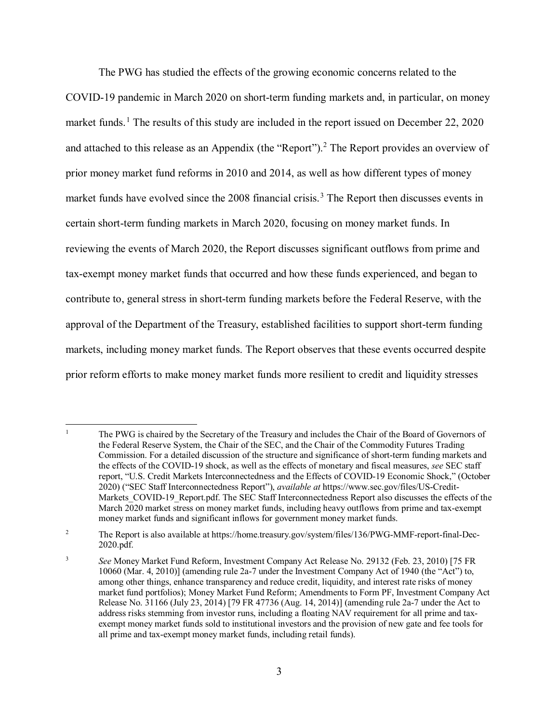The PWG has studied the effects of the growing economic concerns related to the COVID-19 pandemic in March 2020 on short-term funding markets and, in particular, on money market funds.<sup>[1](#page-2-0)</sup> The results of this study are included in the report issued on December 22, 2020 and attached to this release as an Appendix (the "Report").<sup>[2](#page-2-1)</sup> The Report provides an overview of prior money market fund reforms in 2010 and 2014, as well as how different types of money market funds have evolved since the 2008 financial crisis.<sup>[3](#page-2-2)</sup> The Report then discusses events in certain short-term funding markets in March 2020, focusing on money market funds. In reviewing the events of March 2020, the Report discusses significant outflows from prime and tax-exempt money market funds that occurred and how these funds experienced, and began to contribute to, general stress in short-term funding markets before the Federal Reserve, with the approval of the Department of the Treasury, established facilities to support short-term funding markets, including money market funds. The Report observes that these events occurred despite prior reform efforts to make money market funds more resilient to credit and liquidity stresses

 $\overline{\phantom{a}}$ 

<span id="page-2-0"></span><sup>1</sup> The PWG is chaired by the Secretary of the Treasury and includes the Chair of the Board of Governors of the Federal Reserve System, the Chair of the SEC, and the Chair of the Commodity Futures Trading Commission. For a detailed discussion of the structure and significance of short-term funding markets and the effects of the COVID-19 shock, as well as the effects of monetary and fiscal measures, *see* SEC staff report, "U.S. Credit Markets Interconnectedness and the Effects of COVID-19 Economic Shock," (October 2020) ("SEC Staff Interconnectedness Report"), *available at* https://www.sec.gov/files/US-Credit-Markets COVID-19 Report.pdf. The SEC Staff Interconnectedness Report also discusses the effects of the March 2020 market stress on money market funds, including heavy outflows from prime and tax-exempt money market funds and significant inflows for government money market funds.

<span id="page-2-1"></span><sup>&</sup>lt;sup>2</sup> The Report is also available at https://home.treasury.gov/system/files/136/PWG-MMF-report-final-Dec-2020.pdf.

<span id="page-2-2"></span><sup>3</sup> *See* Money Market Fund Reform, Investment Company Act Release No. 29132 (Feb. 23, 2010) [75 FR 10060 (Mar. 4, 2010)] (amending rule 2a-7 under the Investment Company Act of 1940 (the "Act") to, among other things, enhance transparency and reduce credit, liquidity, and interest rate risks of money market fund portfolios); Money Market Fund Reform; Amendments to Form PF, Investment Company Act Release No. 31166 (July 23, 2014) [79 FR 47736 (Aug. 14, 2014)] (amending rule 2a-7 under the Act to address risks stemming from investor runs, including a floating NAV requirement for all prime and taxexempt money market funds sold to institutional investors and the provision of new gate and fee tools for all prime and tax-exempt money market funds, including retail funds).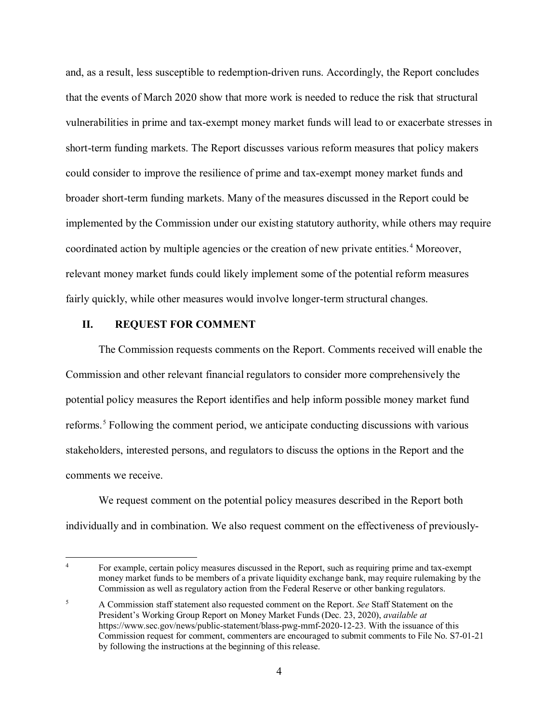and, as a result, less susceptible to redemption-driven runs. Accordingly, the Report concludes that the events of March 2020 show that more work is needed to reduce the risk that structural vulnerabilities in prime and tax-exempt money market funds will lead to or exacerbate stresses in short-term funding markets. The Report discusses various reform measures that policy makers could consider to improve the resilience of prime and tax-exempt money market funds and broader short-term funding markets. Many of the measures discussed in the Report could be implemented by the Commission under our existing statutory authority, while others may require coordinated action by multiple agencies or the creation of new private entities. [4](#page-3-0) Moreover, relevant money market funds could likely implement some of the potential reform measures fairly quickly, while other measures would involve longer-term structural changes.

#### **II. REQUEST FOR COMMENT**

 $\overline{a}$ 

The Commission requests comments on the Report. Comments received will enable the Commission and other relevant financial regulators to consider more comprehensively the potential policy measures the Report identifies and help inform possible money market fund reforms.<sup>[5](#page-3-1)</sup> Following the comment period, we anticipate conducting discussions with various stakeholders, interested persons, and regulators to discuss the options in the Report and the comments we receive.

We request comment on the potential policy measures described in the Report both individually and in combination. We also request comment on the effectiveness of previously-

<span id="page-3-0"></span><sup>&</sup>lt;sup>4</sup> For example, certain policy measures discussed in the Report, such as requiring prime and tax-exempt money market funds to be members of a private liquidity exchange bank, may require rulemaking by the Commission as well as regulatory action from the Federal Reserve or other banking regulators.

<span id="page-3-1"></span><sup>5</sup> A Commission staff statement also requested comment on the Report. *See* Staff Statement on the President's Working Group Report on Money Market Funds (Dec. 23, 2020), *available at*  https://www.sec.gov/news/public-statement/blass-pwg-mmf-2020-12-23. With the issuance of this Commission request for comment, commenters are encouraged to submit comments to File No. S7-01-21 by following the instructions at the beginning of this release.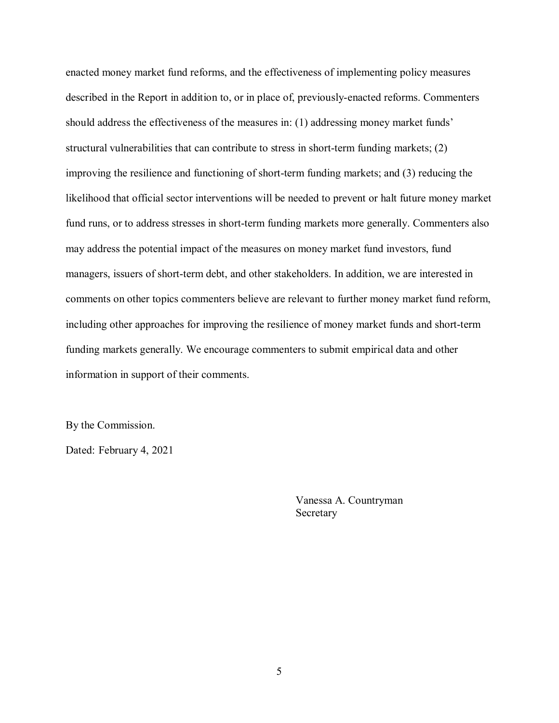enacted money market fund reforms, and the effectiveness of implementing policy measures described in the Report in addition to, or in place of, previously-enacted reforms. Commenters should address the effectiveness of the measures in: (1) addressing money market funds' structural vulnerabilities that can contribute to stress in short-term funding markets; (2) improving the resilience and functioning of short-term funding markets; and (3) reducing the likelihood that official sector interventions will be needed to prevent or halt future money market fund runs, or to address stresses in short-term funding markets more generally. Commenters also may address the potential impact of the measures on money market fund investors, fund managers, issuers of short-term debt, and other stakeholders. In addition, we are interested in comments on other topics commenters believe are relevant to further money market fund reform, including other approaches for improving the resilience of money market funds and short-term funding markets generally. We encourage commenters to submit empirical data and other information in support of their comments.

By the Commission.

Dated: February 4, 2021

Vanessa A. Countryman Secretary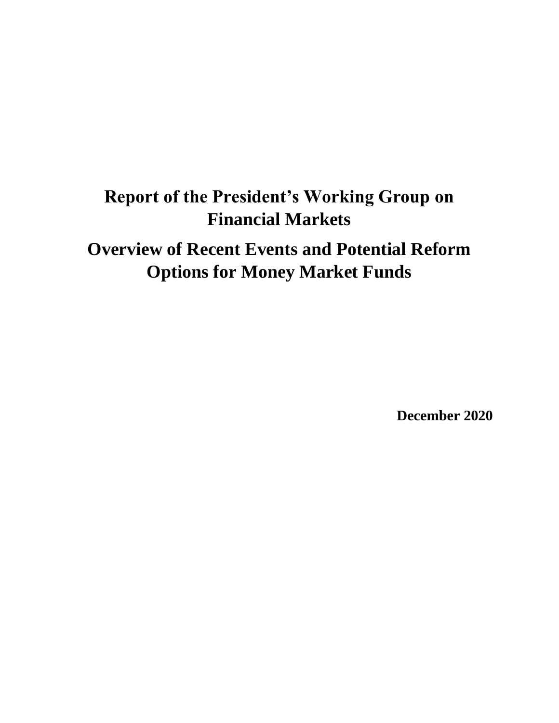# **Report of the President's Working Group on Financial Markets**

**Overview of Recent Events and Potential Reform Options for Money Market Funds**

**December 2020**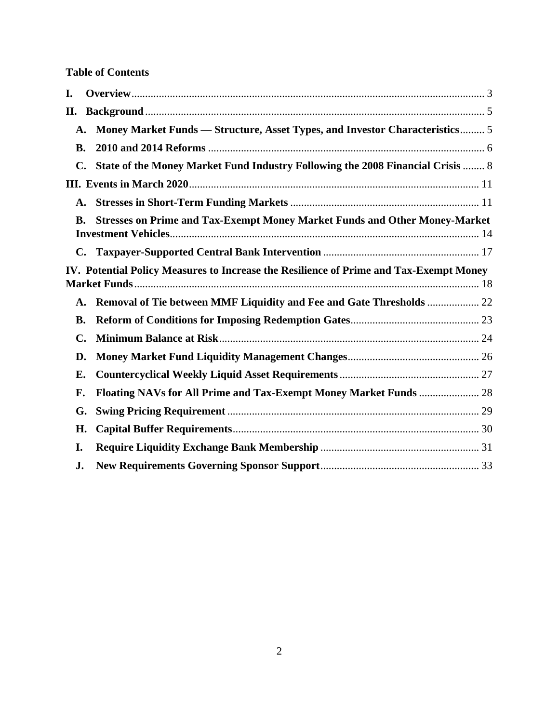# **Table of Contents**

| I. |           |                                                                                        |  |
|----|-----------|----------------------------------------------------------------------------------------|--|
| П. |           |                                                                                        |  |
|    | A.        | Money Market Funds — Structure, Asset Types, and Investor Characteristics 5            |  |
|    | <b>B.</b> |                                                                                        |  |
|    | C.        | State of the Money Market Fund Industry Following the 2008 Financial Crisis  8         |  |
|    |           |                                                                                        |  |
|    | A.        |                                                                                        |  |
|    | В.        | <b>Stresses on Prime and Tax-Exempt Money Market Funds and Other Money-Market</b>      |  |
|    |           |                                                                                        |  |
|    |           | IV. Potential Policy Measures to Increase the Resilience of Prime and Tax-Exempt Money |  |
|    |           | A. Removal of Tie between MMF Liquidity and Fee and Gate Thresholds  22                |  |
|    | <b>B.</b> |                                                                                        |  |
|    | C.        |                                                                                        |  |
|    | D.        |                                                                                        |  |
|    | Е.        |                                                                                        |  |
| F. |           |                                                                                        |  |
|    | G.        |                                                                                        |  |
|    | H.        |                                                                                        |  |
| I. |           |                                                                                        |  |
| J. |           |                                                                                        |  |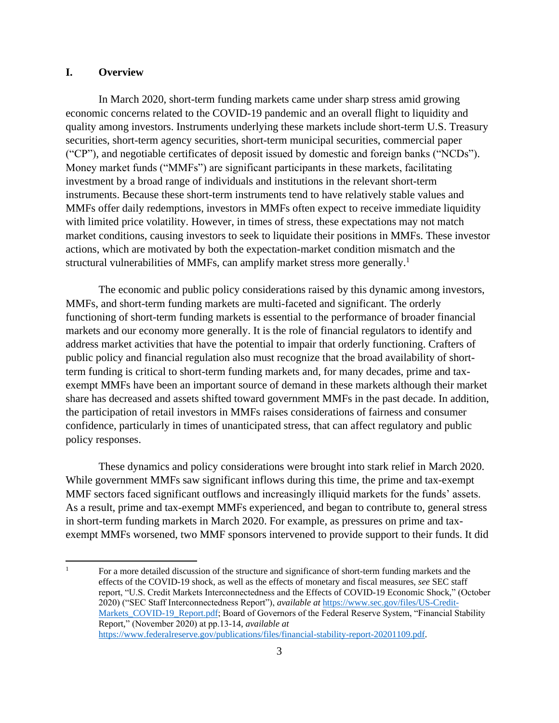# **I. Overview**

In March 2020, short-term funding markets came under sharp stress amid growing economic concerns related to the COVID-19 pandemic and an overall flight to liquidity and quality among investors. Instruments underlying these markets include short-term U.S. Treasury securities, short-term agency securities, short-term municipal securities, commercial paper ("CP"), and negotiable certificates of deposit issued by domestic and foreign banks ("NCDs"). Money market funds ("MMFs") are significant participants in these markets, facilitating investment by a broad range of individuals and institutions in the relevant short-term instruments. Because these short-term instruments tend to have relatively stable values and MMFs offer daily redemptions, investors in MMFs often expect to receive immediate liquidity with limited price volatility. However, in times of stress, these expectations may not match market conditions, causing investors to seek to liquidate their positions in MMFs. These investor actions, which are motivated by both the expectation-market condition mismatch and the structural vulnerabilities of MMFs, can amplify market stress more generally.<sup>1</sup>

The economic and public policy considerations raised by this dynamic among investors, MMFs, and short-term funding markets are multi-faceted and significant. The orderly functioning of short-term funding markets is essential to the performance of broader financial markets and our economy more generally. It is the role of financial regulators to identify and address market activities that have the potential to impair that orderly functioning. Crafters of public policy and financial regulation also must recognize that the broad availability of shortterm funding is critical to short-term funding markets and, for many decades, prime and taxexempt MMFs have been an important source of demand in these markets although their market share has decreased and assets shifted toward government MMFs in the past decade. In addition, the participation of retail investors in MMFs raises considerations of fairness and consumer confidence, particularly in times of unanticipated stress, that can affect regulatory and public policy responses.

These dynamics and policy considerations were brought into stark relief in March 2020. While government MMFs saw significant inflows during this time, the prime and tax-exempt MMF sectors faced significant outflows and increasingly illiquid markets for the funds' assets. As a result, prime and tax-exempt MMFs experienced, and began to contribute to, general stress in short-term funding markets in March 2020. For example, as pressures on prime and taxexempt MMFs worsened, two MMF sponsors intervened to provide support to their funds. It did

<sup>&</sup>lt;sup>1</sup> For a more detailed discussion of the structure and significance of short-term funding markets and the effects of the COVID-19 shock, as well as the effects of monetary and fiscal measures, *see* SEC staff report, "U.S. Credit Markets Interconnectedness and the Effects of COVID-19 Economic Shock," (October 2020) ("SEC Staff Interconnectedness Report"), *available at* [https://www.sec.gov/files/US-Credit-](https://www.sec.gov/files/US-Credit-Markets_COVID-19_Report.pdf)[Markets\\_COVID-19\\_Report.pdf;](https://www.sec.gov/files/US-Credit-Markets_COVID-19_Report.pdf) Board of Governors of the Federal Reserve System, "Financial Stability Report," (November 2020) at pp.13-14, *available at* [https://www.federalreserve.gov/publications/files/financial-stability-report-20201109.pdf.](https://www.federalreserve.gov/publications/files/financial-stability-report-20201109.pdf)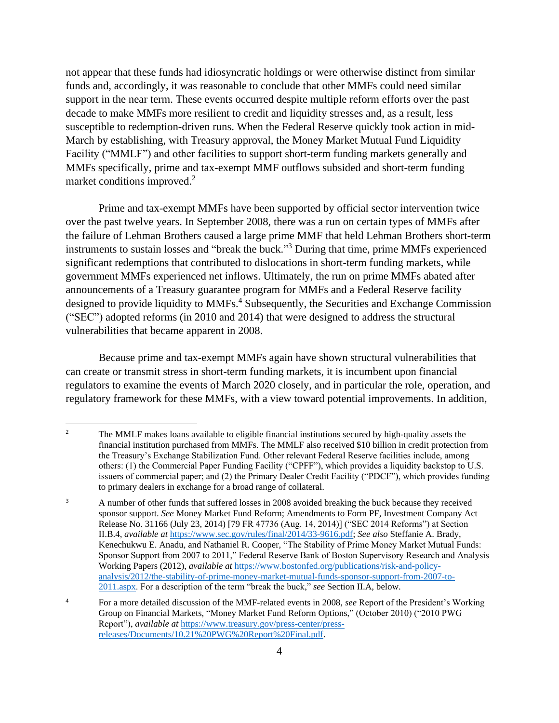not appear that these funds had idiosyncratic holdings or were otherwise distinct from similar funds and, accordingly, it was reasonable to conclude that other MMFs could need similar support in the near term. These events occurred despite multiple reform efforts over the past decade to make MMFs more resilient to credit and liquidity stresses and, as a result, less susceptible to redemption-driven runs. When the Federal Reserve quickly took action in mid-March by establishing, with Treasury approval, the Money Market Mutual Fund Liquidity Facility ("MMLF") and other facilities to support short-term funding markets generally and MMFs specifically, prime and tax-exempt MMF outflows subsided and short-term funding market conditions improved.<sup>2</sup>

Prime and tax-exempt MMFs have been supported by official sector intervention twice over the past twelve years. In September 2008, there was a run on certain types of MMFs after the failure of Lehman Brothers caused a large prime MMF that held Lehman Brothers short-term instruments to sustain losses and "break the buck." <sup>3</sup> During that time, prime MMFs experienced significant redemptions that contributed to dislocations in short-term funding markets, while government MMFs experienced net inflows. Ultimately, the run on prime MMFs abated after announcements of a Treasury guarantee program for MMFs and a Federal Reserve facility designed to provide liquidity to MMFs.<sup>4</sup> Subsequently, the Securities and Exchange Commission ("SEC") adopted reforms (in 2010 and 2014) that were designed to address the structural vulnerabilities that became apparent in 2008.

Because prime and tax-exempt MMFs again have shown structural vulnerabilities that can create or transmit stress in short-term funding markets, it is incumbent upon financial regulators to examine the events of March 2020 closely, and in particular the role, operation, and regulatory framework for these MMFs, with a view toward potential improvements. In addition,

<sup>&</sup>lt;sup>2</sup> The MMLF makes loans available to eligible financial institutions secured by high-quality assets the financial institution purchased from MMFs. The MMLF also received \$10 billion in credit protection from the Treasury's Exchange Stabilization Fund. Other relevant Federal Reserve facilities include, among others: (1) the Commercial Paper Funding Facility ("CPFF"), which provides a liquidity backstop to U.S. issuers of commercial paper; and (2) the Primary Dealer Credit Facility ("PDCF"), which provides funding to primary dealers in exchange for a broad range of collateral.

<sup>&</sup>lt;sup>3</sup> A number of other funds that suffered losses in 2008 avoided breaking the buck because they received sponsor support. *See* Money Market Fund Reform; Amendments to Form PF, Investment Company Act Release No. 31166 (July 23, 2014) [79 FR 47736 (Aug. 14, 2014)] ("SEC 2014 Reforms") at Section II.B.4, *available at* [https://www.sec.gov/rules/final/2014/33-9616.pdf;](https://www.sec.gov/rules/final/2014/33-9616.pdf) *See also* Steffanie A. Brady, Kenechukwu E. Anadu, and Nathaniel R. Cooper, "The Stability of Prime Money Market Mutual Funds: Sponsor Support from 2007 to 2011," Federal Reserve Bank of Boston Supervisory Research and Analysis Working Papers (2012), *available at* [https://www.bostonfed.org/publications/risk-and-policy](https://www.bostonfed.org/publications/risk-and-policy-analysis/2012/the-stability-of-prime-money-market-mutual-funds-sponsor-support-from-2007-to-2011.aspx)[analysis/2012/the-stability-of-prime-money-market-mutual-funds-sponsor-support-from-2007-to-](https://www.bostonfed.org/publications/risk-and-policy-analysis/2012/the-stability-of-prime-money-market-mutual-funds-sponsor-support-from-2007-to-2011.aspx)[2011.aspx.](https://www.bostonfed.org/publications/risk-and-policy-analysis/2012/the-stability-of-prime-money-market-mutual-funds-sponsor-support-from-2007-to-2011.aspx) For a description of the term "break the buck," *see* Section [II.A,](#page-9-0) below.

<sup>4</sup> For a more detailed discussion of the MMF-related events in 2008, *see* Report of the President's Working Group on Financial Markets, "Money Market Fund Reform Options," (October 2010) ("2010 PWG Report"), *available at* [https://www.treasury.gov/press-center/press](https://www.treasury.gov/press-center/press-releases/Documents/10.21%20PWG%20Report%20Final.pdf)[releases/Documents/10.21%20PWG%20Report%20Final.pdf.](https://www.treasury.gov/press-center/press-releases/Documents/10.21%20PWG%20Report%20Final.pdf)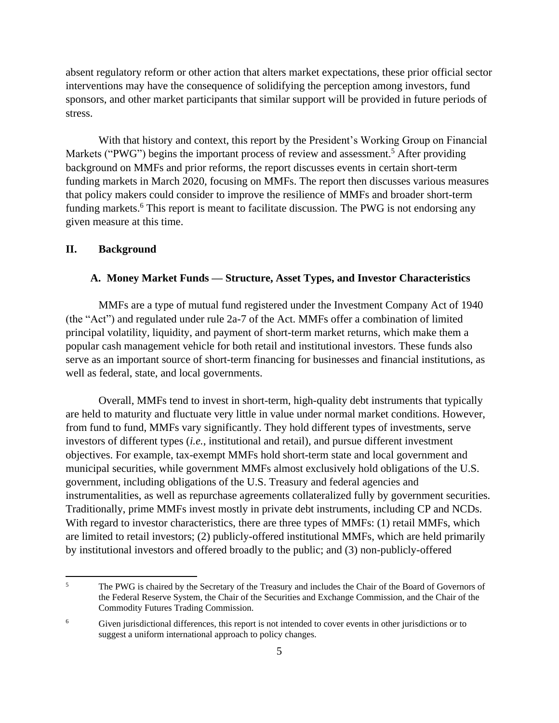absent regulatory reform or other action that alters market expectations, these prior official sector interventions may have the consequence of solidifying the perception among investors, fund sponsors, and other market participants that similar support will be provided in future periods of stress.

With that history and context, this report by the President's Working Group on Financial Markets ("PWG") begins the important process of review and assessment.<sup>5</sup> After providing background on MMFs and prior reforms, the report discusses events in certain short-term funding markets in March 2020, focusing on MMFs. The report then discusses various measures that policy makers could consider to improve the resilience of MMFs and broader short-term funding markets.<sup>6</sup> This report is meant to facilitate discussion. The PWG is not endorsing any given measure at this time.

#### <span id="page-9-0"></span>**II. Background**

#### **A. Money Market Funds — Structure, Asset Types, and Investor Characteristics**

MMFs are a type of mutual fund registered under the Investment Company Act of 1940 (the "Act") and regulated under rule 2a-7 of the Act. MMFs offer a combination of limited principal volatility, liquidity, and payment of short-term market returns, which make them a popular cash management vehicle for both retail and institutional investors. These funds also serve as an important source of short-term financing for businesses and financial institutions, as well as federal, state, and local governments.

Overall, MMFs tend to invest in short-term, high-quality debt instruments that typically are held to maturity and fluctuate very little in value under normal market conditions. However, from fund to fund, MMFs vary significantly. They hold different types of investments, serve investors of different types (*i.e.*, institutional and retail), and pursue different investment objectives. For example, tax-exempt MMFs hold short-term state and local government and municipal securities, while government MMFs almost exclusively hold obligations of the U.S. government, including obligations of the U.S. Treasury and federal agencies and instrumentalities, as well as repurchase agreements collateralized fully by government securities. Traditionally, prime MMFs invest mostly in private debt instruments, including CP and NCDs. With regard to investor characteristics, there are three types of MMFs: (1) retail MMFs, which are limited to retail investors; (2) publicly-offered institutional MMFs, which are held primarily by institutional investors and offered broadly to the public; and (3) non-publicly-offered

<sup>&</sup>lt;sup>5</sup> The PWG is chaired by the Secretary of the Treasury and includes the Chair of the Board of Governors of the Federal Reserve System, the Chair of the Securities and Exchange Commission, and the Chair of the Commodity Futures Trading Commission.

<sup>&</sup>lt;sup>6</sup> Given jurisdictional differences, this report is not intended to cover events in other jurisdictions or to suggest a uniform international approach to policy changes.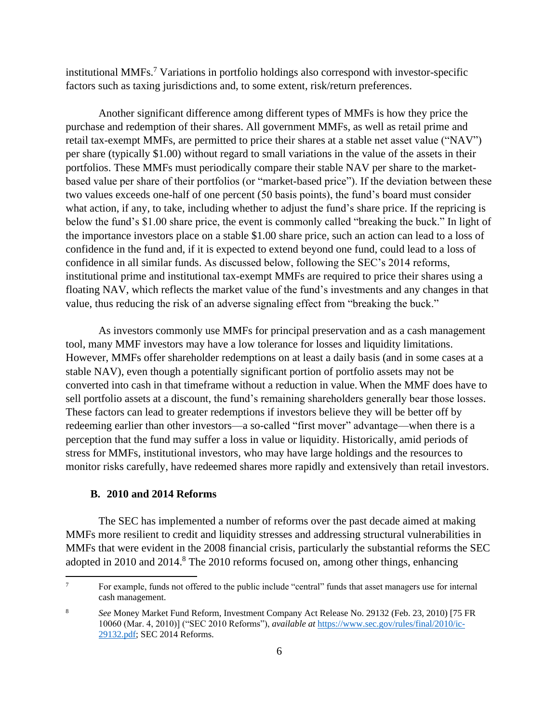<span id="page-10-0"></span>institutional MMFs. <sup>7</sup> Variations in portfolio holdings also correspond with investor-specific factors such as taxing jurisdictions and, to some extent, risk/return preferences.

Another significant difference among different types of MMFs is how they price the purchase and redemption of their shares. All government MMFs, as well as retail prime and retail tax-exempt MMFs, are permitted to price their shares at a stable net asset value ("NAV") per share (typically \$1.00) without regard to small variations in the value of the assets in their portfolios. These MMFs must periodically compare their stable NAV per share to the marketbased value per share of their portfolios (or "market-based price"). If the deviation between these two values exceeds one-half of one percent (50 basis points), the fund's board must consider what action, if any, to take, including whether to adjust the fund's share price. If the repricing is below the fund's \$1.00 share price, the event is commonly called "breaking the buck." In light of the importance investors place on a stable \$1.00 share price, such an action can lead to a loss of confidence in the fund and, if it is expected to extend beyond one fund, could lead to a loss of confidence in all similar funds. As discussed below, following the SEC's 2014 reforms, institutional prime and institutional tax-exempt MMFs are required to price their shares using a floating NAV, which reflects the market value of the fund's investments and any changes in that value, thus reducing the risk of an adverse signaling effect from "breaking the buck."

As investors commonly use MMFs for principal preservation and as a cash management tool, many MMF investors may have a low tolerance for losses and liquidity limitations. However, MMFs offer shareholder redemptions on at least a daily basis (and in some cases at a stable NAV), even though a potentially significant portion of portfolio assets may not be converted into cash in that timeframe without a reduction in value. When the MMF does have to sell portfolio assets at a discount, the fund's remaining shareholders generally bear those losses. These factors can lead to greater redemptions if investors believe they will be better off by redeeming earlier than other investors—a so-called "first mover" advantage—when there is a perception that the fund may suffer a loss in value or liquidity. Historically, amid periods of stress for MMFs, institutional investors, who may have large holdings and the resources to monitor risks carefully, have redeemed shares more rapidly and extensively than retail investors.

#### **B. 2010 and 2014 Reforms**

The SEC has implemented a number of reforms over the past decade aimed at making MMFs more resilient to credit and liquidity stresses and addressing structural vulnerabilities in MMFs that were evident in the 2008 financial crisis, particularly the substantial reforms the SEC adopted in 2010 and 2014.<sup>8</sup> The 2010 reforms focused on, among other things, enhancing

<sup>&</sup>lt;sup>7</sup> For example, funds not offered to the public include "central" funds that asset managers use for internal cash management.

<sup>8</sup> *See* Money Market Fund Reform, Investment Company Act Release No. 29132 (Feb. 23, 2010) [75 FR 10060 (Mar. 4, 2010)] ("SEC 2010 Reforms"), *available at* [https://www.sec.gov/rules/final/2010/ic-](https://www.sec.gov/rules/final/2010/ic-29132.pdf)[29132.pdf;](https://www.sec.gov/rules/final/2010/ic-29132.pdf) SEC 2014 Reforms.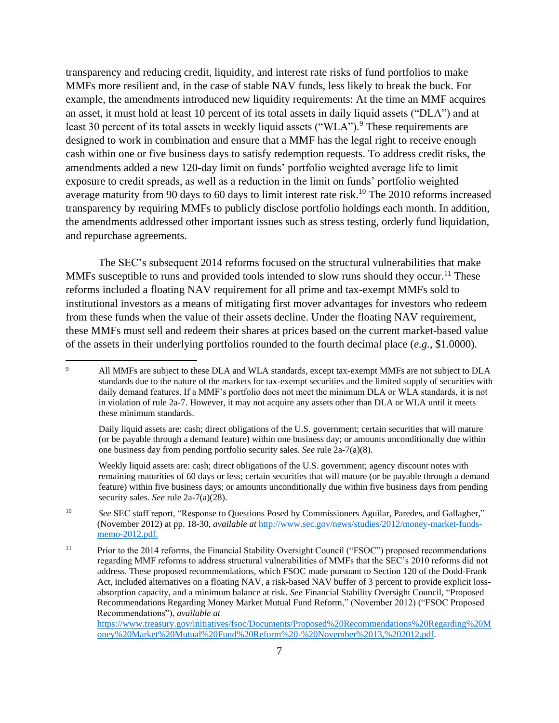transparency and reducing credit, liquidity, and interest rate risks of fund portfolios to make MMFs more resilient and, in the case of stable NAV funds, less likely to break the buck. For example, the amendments introduced new liquidity requirements: At the time an MMF acquires an asset, it must hold at least 10 percent of its total assets in daily liquid assets ("DLA") and at least 30 percent of its total assets in weekly liquid assets ("WLA").<sup>9</sup> These requirements are designed to work in combination and ensure that a MMF has the legal right to receive enough cash within one or five business days to satisfy redemption requests. To address credit risks, the amendments added a new 120-day limit on funds' portfolio weighted average life to limit exposure to credit spreads, as well as a reduction in the limit on funds' portfolio weighted average maturity from 90 days to 60 days to limit interest rate risk.<sup>10</sup> The 2010 reforms increased transparency by requiring MMFs to publicly disclose portfolio holdings each month. In addition, the amendments addressed other important issues such as stress testing, orderly fund liquidation, and repurchase agreements.

The SEC's subsequent 2014 reforms focused on the structural vulnerabilities that make MMFs susceptible to runs and provided tools intended to slow runs should they occur.<sup>11</sup> These reforms included a floating NAV requirement for all prime and tax-exempt MMFs sold to institutional investors as a means of mitigating first mover advantages for investors who redeem from these funds when the value of their assets decline. Under the floating NAV requirement, these MMFs must sell and redeem their shares at prices based on the current market-based value of the assets in their underlying portfolios rounded to the fourth decimal place (*e.g.*, \$1.0000).

Daily liquid assets are: cash; direct obligations of the U.S. government; certain securities that will mature (or be payable through a demand feature) within one business day; or amounts unconditionally due within one business day from pending portfolio security sales. *See* rule 2a-7(a)(8).

Weekly liquid assets are: cash; direct obligations of the U.S. government; agency discount notes with remaining maturities of 60 days or less; certain securities that will mature (or be payable through a demand feature) within five business days; or amounts unconditionally due within five business days from pending security sales. *See* rule 2a-7(a)(28).

[https://www.treasury.gov/initiatives/fsoc/Documents/Proposed%20Recommendations%20Regarding%20M](https://www.treasury.gov/initiatives/fsoc/Documents/Proposed%20Recommendations%20Regarding%20Money%20Market%20Mutual%20Fund%20Reform%20-%20November%2013,%202012.pdf) [oney%20Market%20Mutual%20Fund%20Reform%20-%20November%2013,%202012.pdf.](https://www.treasury.gov/initiatives/fsoc/Documents/Proposed%20Recommendations%20Regarding%20Money%20Market%20Mutual%20Fund%20Reform%20-%20November%2013,%202012.pdf)

<sup>&</sup>lt;sup>9</sup> All MMFs are subject to these DLA and WLA standards, except tax-exempt MMFs are not subject to DLA standards due to the nature of the markets for tax-exempt securities and the limited supply of securities with daily demand features. If a MMF's portfolio does not meet the minimum DLA or WLA standards, it is not in violation of rule 2a-7. However, it may not acquire any assets other than DLA or WLA until it meets these minimum standards.

<sup>10</sup> *See* SEC staff report, "Response to Questions Posed by Commissioners Aguilar, Paredes, and Gallagher," (November 2012) at pp. 18-30, *available at* [http://www.sec.gov/news/studies/2012/money-market-funds](http://www.sec.gov/news/studies/2012/money-market-funds-memo-2012.pdf)[memo-2012.pdf.](http://www.sec.gov/news/studies/2012/money-market-funds-memo-2012.pdf)

<sup>&</sup>lt;sup>11</sup> Prior to the 2014 reforms, the Financial Stability Oversight Council ("FSOC") proposed recommendations regarding MMF reforms to address structural vulnerabilities of MMFs that the SEC's 2010 reforms did not address. These proposed recommendations, which FSOC made pursuant to Section 120 of the Dodd-Frank Act, included alternatives on a floating NAV, a risk-based NAV buffer of 3 percent to provide explicit lossabsorption capacity, and a minimum balance at risk. *See* Financial Stability Oversight Council, "Proposed Recommendations Regarding Money Market Mutual Fund Reform," (November 2012) ("FSOC Proposed Recommendations"), *available at*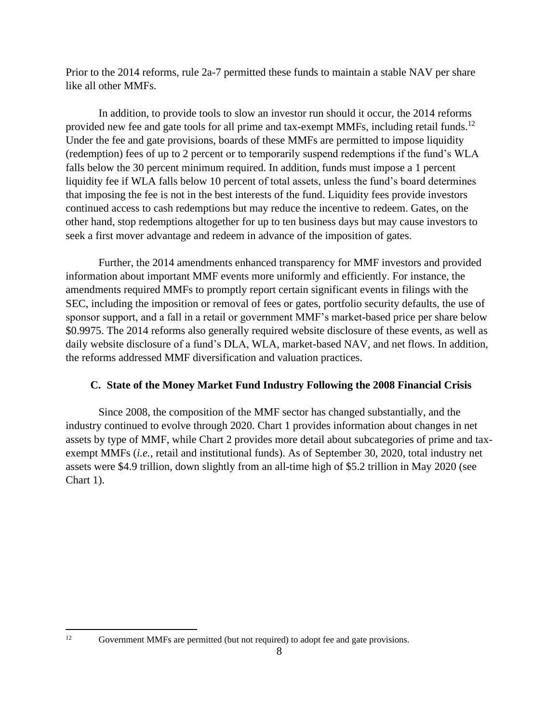Prior to the 2014 reforms, rule 2a-7 permitted these funds to maintain a stable NAV per share like all other MMFs.

In addition, to provide tools to slow an investor run should it occur, the 2014 reforms provided new fee and gate tools for all prime and tax-exempt MMFs, including retail funds.<sup>12</sup> Under the fee and gate provisions, boards of these MMFs are permitted to impose liquidity (redemption) fees of up to 2 percent or to temporarily suspend redemptions if the fund's WLA falls below the 30 percent minimum required. In addition, funds must impose a 1 percent liquidity fee if WLA falls below 10 percent of total assets, unless the fund's board determines that imposing the fee is not in the best interests of the fund. Liquidity fees provide investors continued access to cash redemptions but may reduce the incentive to redeem. Gates, on the other hand, stop redemptions altogether for up to ten business days but may cause investors to seek a first mover advantage and redeem in advance of the imposition of gates.

Further, the 2014 amendments enhanced transparency for MMF investors and provided information about important MMF events more uniformly and efficiently. For instance, the amendments required MMFs to promptly report certain significant events in filings with the SEC, including the imposition or removal of fees or gates, portfolio security defaults, the use of sponsor support, and a fall in a retail or government MMF's market-based price per share below \$0.9975. The 2014 reforms also generally required website disclosure of these events, as well as daily website disclosure of a fund's DLA, WLA, market-based NAV, and net flows. In addition, the reforms addressed MMF diversification and valuation practices.

# **C. State of the Money Market Fund Industry Following the 2008 Financial Crisis**

Since 2008, the composition of the MMF sector has changed substantially, and the industry continued to evolve through 2020. Chart 1 provides information about changes in net assets by type of MMF, while Chart 2 provides more detail about subcategories of prime and taxexempt MMFs (*i.e.*, retail and institutional funds). As of September 30, 2020, total industry net assets were \$4.9 trillion, down slightly from an all-time high of \$5.2 trillion in May 2020 (see Chart 1).

<sup>&</sup>lt;sup>12</sup> Government MMFs are permitted (but not required) to adopt fee and gate provisions.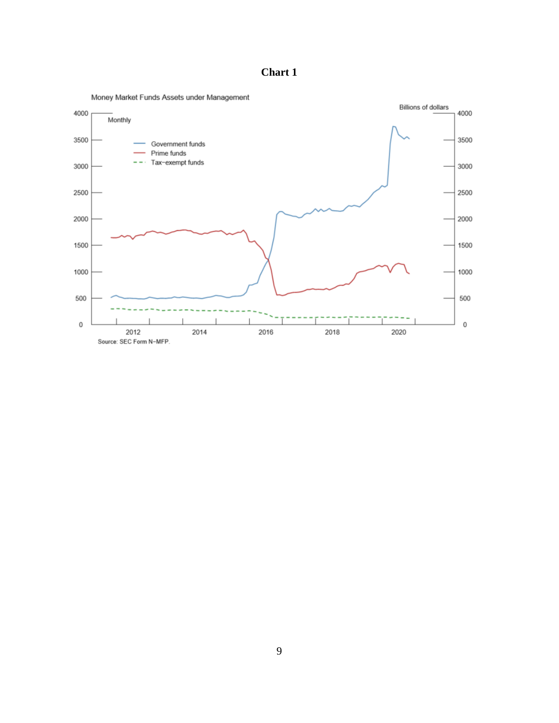**Chart 1**

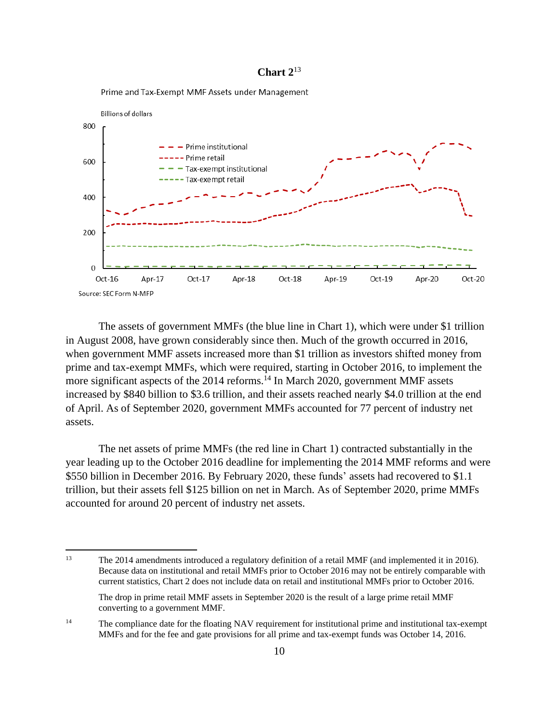#### <span id="page-14-0"></span>**Chart 2**<sup>13</sup>



Prime and Tax-Exempt MMF Assets under Management

The assets of government MMFs (the blue line in Chart 1), which were under \$1 trillion in August 2008, have grown considerably since then. Much of the growth occurred in 2016, when government MMF assets increased more than \$1 trillion as investors shifted money from prime and tax-exempt MMFs, which were required, starting in October 2016, to implement the more significant aspects of the 2014 reforms.<sup>14</sup> In March 2020, government MMF assets increased by \$840 billion to \$3.6 trillion, and their assets reached nearly \$4.0 trillion at the end of April. As of September 2020, government MMFs accounted for 77 percent of industry net assets.

The net assets of prime MMFs (the red line in Chart 1) contracted substantially in the year leading up to the October 2016 deadline for implementing the 2014 MMF reforms and were \$550 billion in December 2016. By February 2020, these funds' assets had recovered to \$1.1 trillion, but their assets fell \$125 billion on net in March. As of September 2020, prime MMFs accounted for around 20 percent of industry net assets.

<sup>13</sup> The 2014 amendments introduced a regulatory definition of a retail MMF (and implemented it in 2016). Because data on institutional and retail MMFs prior to October 2016 may not be entirely comparable with current statistics, Chart 2 does not include data on retail and institutional MMFs prior to October 2016. The drop in prime retail MMF assets in September 2020 is the result of a large prime retail MMF

converting to a government MMF.

<sup>&</sup>lt;sup>14</sup> The compliance date for the floating NAV requirement for institutional prime and institutional tax-exempt MMFs and for the fee and gate provisions for all prime and tax-exempt funds was October 14, 2016.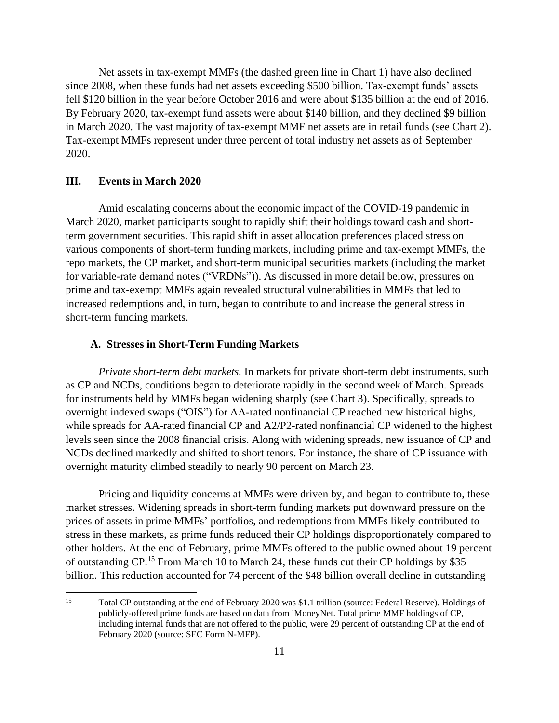Net assets in tax-exempt MMFs (the dashed green line in Chart 1) have also declined since 2008, when these funds had net assets exceeding \$500 billion. Tax-exempt funds' assets fell \$120 billion in the year before October 2016 and were about \$135 billion at the end of 2016. By February 2020, tax-exempt fund assets were about \$140 billion, and they declined \$9 billion in March 2020. The vast majority of tax-exempt MMF net assets are in retail funds (see Chart 2). Tax-exempt MMFs represent under three percent of total industry net assets as of September 2020.

#### **III. Events in March 2020**

Amid escalating concerns about the economic impact of the COVID-19 pandemic in March 2020, market participants sought to rapidly shift their holdings toward cash and shortterm government securities. This rapid shift in asset allocation preferences placed stress on various components of short-term funding markets, including prime and tax-exempt MMFs, the repo markets, the CP market, and short-term municipal securities markets (including the market for variable-rate demand notes ("VRDNs")). As discussed in more detail below, pressures on prime and tax-exempt MMFs again revealed structural vulnerabilities in MMFs that led to increased redemptions and, in turn, began to contribute to and increase the general stress in short-term funding markets.

#### **A. Stresses in Short-Term Funding Markets**

*Private short-term debt markets.* In markets for private short-term debt instruments, such as CP and NCDs, conditions began to deteriorate rapidly in the second week of March. Spreads for instruments held by MMFs began widening sharply (see Chart 3). Specifically, spreads to overnight indexed swaps ("OIS") for AA-rated nonfinancial CP reached new historical highs, while spreads for AA-rated financial CP and A2/P2-rated nonfinancial CP widened to the highest levels seen since the 2008 financial crisis. Along with widening spreads, new issuance of CP and NCDs declined markedly and shifted to short tenors. For instance, the share of CP issuance with overnight maturity climbed steadily to nearly 90 percent on March 23.

Pricing and liquidity concerns at MMFs were driven by, and began to contribute to, these market stresses. Widening spreads in short-term funding markets put downward pressure on the prices of assets in prime MMFs' portfolios, and redemptions from MMFs likely contributed to stress in these markets, as prime funds reduced their CP holdings disproportionately compared to other holders. At the end of February, prime MMFs offered to the public owned about 19 percent of outstanding CP.<sup>15</sup> From March 10 to March 24, these funds cut their CP holdings by \$35 billion. This reduction accounted for 74 percent of the \$48 billion overall decline in outstanding

<span id="page-15-0"></span><sup>15</sup> Total CP outstanding at the end of February 2020 was \$1.1 trillion (source: Federal Reserve). Holdings of publicly-offered prime funds are based on data from iMoneyNet. Total prime MMF holdings of CP, including internal funds that are not offered to the public, were 29 percent of outstanding CP at the end of February 2020 (source: SEC Form N-MFP).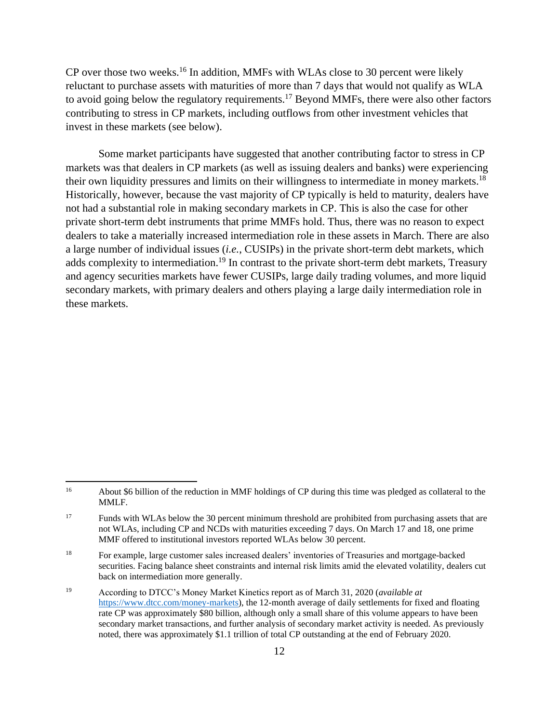CP over those two weeks.<sup>16</sup> In addition, MMFs with WLAs close to 30 percent were likely reluctant to purchase assets with maturities of more than 7 days that would not qualify as WLA to avoid going below the regulatory requirements.<sup>17</sup> Beyond MMFs, there were also other factors contributing to stress in CP markets, including outflows from other investment vehicles that invest in these markets (see below).

Some market participants have suggested that another contributing factor to stress in CP markets was that dealers in CP markets (as well as issuing dealers and banks) were experiencing their own liquidity pressures and limits on their willingness to intermediate in money markets.<sup>18</sup> Historically, however, because the vast majority of CP typically is held to maturity, dealers have not had a substantial role in making secondary markets in CP. This is also the case for other private short-term debt instruments that prime MMFs hold. Thus, there was no reason to expect dealers to take a materially increased intermediation role in these assets in March. There are also a large number of individual issues (*i.e.*, CUSIPs) in the private short-term debt markets, which adds complexity to intermediation.<sup>19</sup> In contrast to the private short-term debt markets, Treasury and agency securities markets have fewer CUSIPs, large daily trading volumes, and more liquid secondary markets, with primary dealers and others playing a large daily intermediation role in these markets.

<sup>16</sup> About \$6 billion of the reduction in MMF holdings of CP during this time was pledged as collateral to the MMLF.

<sup>&</sup>lt;sup>17</sup> Funds with WLAs below the 30 percent minimum threshold are prohibited from purchasing assets that are not WLAs, including CP and NCDs with maturities exceeding 7 days. On March 17 and 18, one prime MMF offered to institutional investors reported WLAs below 30 percent.

<sup>18</sup> For example, large customer sales increased dealers' inventories of Treasuries and mortgage-backed securities. Facing balance sheet constraints and internal risk limits amid the elevated volatility, dealers cut back on intermediation more generally.

<sup>19</sup> According to DTCC's Money Market Kinetics report as of March 31, 2020 (*available at* [https://www.dtcc.com/money-markets\)](https://www.dtcc.com/money-markets), the 12-month average of daily settlements for fixed and floating rate CP was approximately \$80 billion, although only a small share of this volume appears to have been secondary market transactions, and further analysis of secondary market activity is needed. As previously noted, there was approximately \$1.1 trillion of total CP outstanding at the end of February 2020.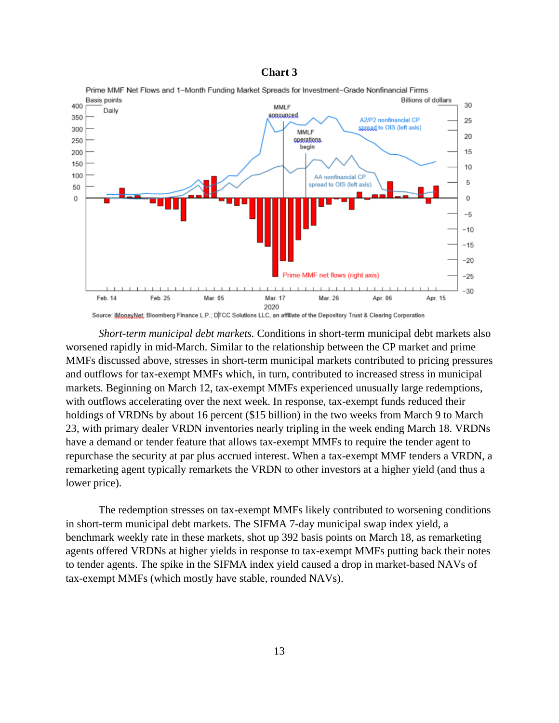#### **Chart 3**



Source: iMoneyNet; Bloomberg Finance L.P.; D|TCC Solutions LLC, an affiliate of the Depository Trust & Clearing Corporation *Short-term municipal debt markets.* Conditions in short-term municipal debt markets also worsened rapidly in mid-March. Similar to the relationship between the CP market and prime MMFs discussed above, stresses in short-term municipal markets contributed to pricing pressures and outflows for tax-exempt MMFs which, in turn, contributed to increased stress in municipal markets. Beginning on March 12, tax-exempt MMFs experienced unusually large redemptions, with outflows accelerating over the next week. In response, tax-exempt funds reduced their holdings of VRDNs by about 16 percent (\$15 billion) in the two weeks from March 9 to March 23, with primary dealer VRDN inventories nearly tripling in the week ending March 18. VRDNs have a demand or tender feature that allows tax-exempt MMFs to require the tender agent to repurchase the security at par plus accrued interest. When a tax-exempt MMF tenders a VRDN, a remarketing agent typically remarkets the VRDN to other investors at a higher yield (and thus a

The redemption stresses on tax-exempt MMFs likely contributed to worsening conditions in short-term municipal debt markets. The SIFMA 7-day municipal swap index yield, a benchmark weekly rate in these markets, shot up 392 basis points on March 18, as remarketing agents offered VRDNs at higher yields in response to tax-exempt MMFs putting back their notes to tender agents. The spike in the SIFMA index yield caused a drop in market-based NAVs of tax-exempt MMFs (which mostly have stable, rounded NAVs).

lower price).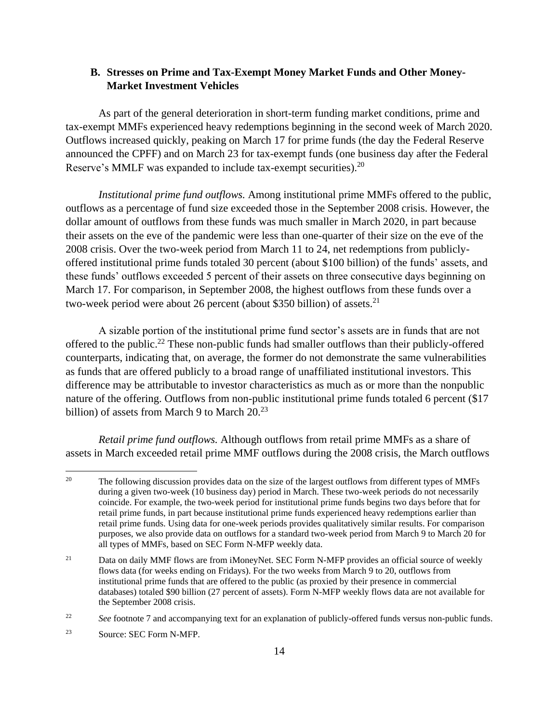# <span id="page-18-0"></span>**B. Stresses on Prime and Tax-Exempt Money Market Funds and Other Money-Market Investment Vehicles**

As part of the general deterioration in short-term funding market conditions, prime and tax-exempt MMFs experienced heavy redemptions beginning in the second week of March 2020. Outflows increased quickly, peaking on March 17 for prime funds (the day the Federal Reserve announced the CPFF) and on March 23 for tax-exempt funds (one business day after the Federal Reserve's MMLF was expanded to include tax-exempt securities).<sup>20</sup>

*Institutional prime fund outflows.* Among institutional prime MMFs offered to the public, outflows as a percentage of fund size exceeded those in the September 2008 crisis. However, the dollar amount of outflows from these funds was much smaller in March 2020, in part because their assets on the eve of the pandemic were less than one-quarter of their size on the eve of the 2008 crisis. Over the two-week period from March 11 to 24, net redemptions from publiclyoffered institutional prime funds totaled 30 percent (about \$100 billion) of the funds' assets, and these funds' outflows exceeded 5 percent of their assets on three consecutive days beginning on March 17. For comparison, in September 2008, the highest outflows from these funds over a two-week period were about 26 percent (about \$350 billion) of assets.<sup>21</sup>

A sizable portion of the institutional prime fund sector's assets are in funds that are not offered to the public.<sup>22</sup> These non-public funds had smaller outflows than their publicly-offered counterparts, indicating that, on average, the former do not demonstrate the same vulnerabilities as funds that are offered publicly to a broad range of unaffiliated institutional investors. This difference may be attributable to investor characteristics as much as or more than the nonpublic nature of the offering. Outflows from non-public institutional prime funds totaled 6 percent (\$17 billion) of assets from March 9 to March  $20.^{23}$ 

*Retail prime fund outflows.* Although outflows from retail prime MMFs as a share of assets in March exceeded retail prime MMF outflows during the 2008 crisis, the March outflows

<sup>&</sup>lt;sup>20</sup> The following discussion provides data on the size of the largest outflows from different types of MMFs during a given two-week (10 business day) period in March. These two-week periods do not necessarily coincide. For example, the two-week period for institutional prime funds begins two days before that for retail prime funds, in part because institutional prime funds experienced heavy redemptions earlier than retail prime funds. Using data for one-week periods provides qualitatively similar results. For comparison purposes, we also provide data on outflows for a standard two-week period from March 9 to March 20 for all types of MMFs, based on SEC Form N-MFP weekly data.

<sup>&</sup>lt;sup>21</sup> Data on daily MMF flows are from iMoneyNet. SEC Form N-MFP provides an official source of weekly flows data (for weeks ending on Fridays). For the two weeks from March 9 to 20, outflows from institutional prime funds that are offered to the public (as proxied by their presence in commercial databases) totaled \$90 billion (27 percent of assets). Form N-MFP weekly flows data are not available for the September 2008 crisis.

<sup>&</sup>lt;sup>22</sup> *See* footnote [7](#page-10-0) and accompanying text for an explanation of publicly-offered funds versus non-public funds.

<sup>23</sup> Source: SEC Form N-MFP.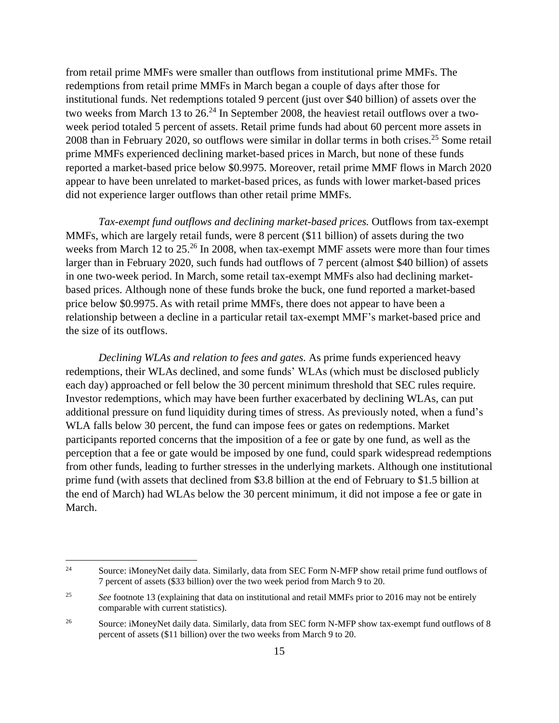from retail prime MMFs were smaller than outflows from institutional prime MMFs. The redemptions from retail prime MMFs in March began a couple of days after those for institutional funds. Net redemptions totaled 9 percent (just over \$40 billion) of assets over the two weeks from March 13 to 26.<sup>24</sup> In September 2008, the heaviest retail outflows over a twoweek period totaled 5 percent of assets. Retail prime funds had about 60 percent more assets in 2008 than in February 2020, so outflows were similar in dollar terms in both crises.<sup>25</sup> Some retail prime MMFs experienced declining market-based prices in March, but none of these funds reported a market-based price below \$0.9975. Moreover, retail prime MMF flows in March 2020 appear to have been unrelated to market-based prices, as funds with lower market-based prices did not experience larger outflows than other retail prime MMFs.

*Tax-exempt fund outflows and declining market-based prices.* Outflows from tax-exempt MMFs, which are largely retail funds, were 8 percent (\$11 billion) of assets during the two weeks from March 12 to 25.<sup>26</sup> In 2008, when tax-exempt MMF assets were more than four times larger than in February 2020, such funds had outflows of 7 percent (almost \$40 billion) of assets in one two-week period. In March, some retail tax-exempt MMFs also had declining marketbased prices. Although none of these funds broke the buck, one fund reported a market-based price below \$0.9975. As with retail prime MMFs, there does not appear to have been a relationship between a decline in a particular retail tax-exempt MMF's market-based price and the size of its outflows.

*Declining WLAs and relation to fees and gates.* As prime funds experienced heavy redemptions, their WLAs declined, and some funds' WLAs (which must be disclosed publicly each day) approached or fell below the 30 percent minimum threshold that SEC rules require. Investor redemptions, which may have been further exacerbated by declining WLAs, can put additional pressure on fund liquidity during times of stress. As previously noted, when a fund's WLA falls below 30 percent, the fund can impose fees or gates on redemptions. Market participants reported concerns that the imposition of a fee or gate by one fund, as well as the perception that a fee or gate would be imposed by one fund, could spark widespread redemptions from other funds, leading to further stresses in the underlying markets. Although one institutional prime fund (with assets that declined from \$3.8 billion at the end of February to \$1.5 billion at the end of March) had WLAs below the 30 percent minimum, it did not impose a fee or gate in March.

<sup>&</sup>lt;sup>24</sup> Source: iMoneyNet daily data. Similarly, data from SEC Form N-MFP show retail prime fund outflows of 7 percent of assets (\$33 billion) over the two week period from March 9 to 20.

<sup>&</sup>lt;sup>25</sup> *See* footnote [13](#page-14-0) (explaining that data on institutional and retail MMFs prior to 2016 may not be entirely comparable with current statistics).

<sup>&</sup>lt;sup>26</sup> Source: iMoneyNet daily data. Similarly, data from SEC form N-MFP show tax-exempt fund outflows of 8 percent of assets (\$11 billion) over the two weeks from March 9 to 20.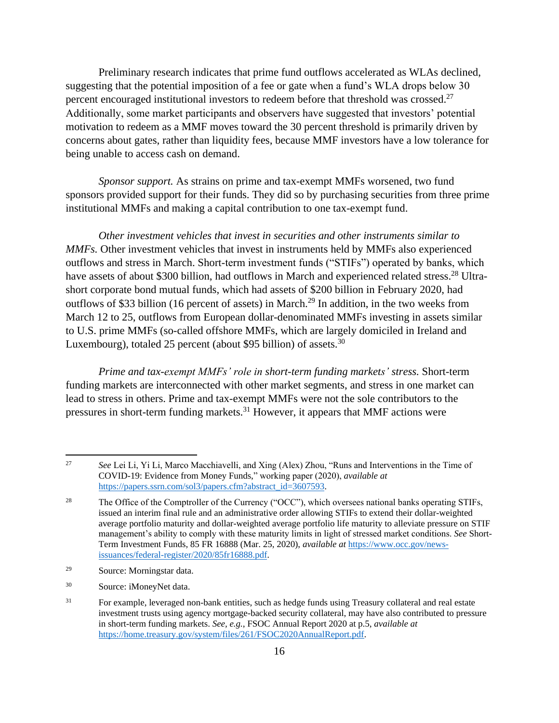<span id="page-20-0"></span>Preliminary research indicates that prime fund outflows accelerated as WLAs declined, suggesting that the potential imposition of a fee or gate when a fund's WLA drops below 30 percent encouraged institutional investors to redeem before that threshold was crossed.<sup>27</sup> Additionally, some market participants and observers have suggested that investors' potential motivation to redeem as a MMF moves toward the 30 percent threshold is primarily driven by concerns about gates, rather than liquidity fees, because MMF investors have a low tolerance for being unable to access cash on demand.

*Sponsor support.* As strains on prime and tax-exempt MMFs worsened, two fund sponsors provided support for their funds. They did so by purchasing securities from three prime institutional MMFs and making a capital contribution to one tax-exempt fund.

*Other investment vehicles that invest in securities and other instruments similar to MMFs.* Other investment vehicles that invest in instruments held by MMFs also experienced outflows and stress in March. Short-term investment funds ("STIFs") operated by banks, which have assets of about \$300 billion, had outflows in March and experienced related stress.<sup>28</sup> Ultrashort corporate bond mutual funds, which had assets of \$200 billion in February 2020, had outflows of \$33 billion (16 percent of assets) in March.<sup>29</sup> In addition, in the two weeks from March 12 to 25, outflows from European dollar-denominated MMFs investing in assets similar to U.S. prime MMFs (so-called offshore MMFs, which are largely domiciled in Ireland and Luxembourg), totaled 25 percent (about \$95 billion) of assets.<sup>30</sup>

*Prime and tax-exempt MMFs' role in short-term funding markets' stress.* Short-term funding markets are interconnected with other market segments, and stress in one market can lead to stress in others. Prime and tax-exempt MMFs were not the sole contributors to the pressures in short-term funding markets.<sup>31</sup> However, it appears that MMF actions were

<sup>27</sup> *See* Lei Li, Yi Li, Marco Macchiavelli, and Xing (Alex) Zhou, "Runs and Interventions in the Time of COVID-19: Evidence from Money Funds," working paper (2020), *available at* [https://papers.ssrn.com/sol3/papers.cfm?abstract\\_id=3607593.](https://papers.ssrn.com/sol3/papers.cfm?abstract_id=3607593)

<sup>&</sup>lt;sup>28</sup> The Office of the Comptroller of the Currency ("OCC"), which oversees national banks operating STIFs, issued an interim final rule and an administrative order allowing STIFs to extend their dollar-weighted average portfolio maturity and dollar-weighted average portfolio life maturity to alleviate pressure on STIF management's ability to comply with these maturity limits in light of stressed market conditions. *See* Short-Term Investment Funds, 85 FR 16888 (Mar. 25, 2020), *available at* [https://www.occ.gov/news](https://www.occ.gov/news-issuances/federal-register/2020/85fr16888.pdf)[issuances/federal-register/2020/85fr16888.pdf.](https://www.occ.gov/news-issuances/federal-register/2020/85fr16888.pdf)

<sup>29</sup> Source: Morningstar data.

<sup>30</sup> Source: iMoneyNet data.

<sup>&</sup>lt;sup>31</sup> For example, leveraged non-bank entities, such as hedge funds using Treasury collateral and real estate investment trusts using agency mortgage-backed security collateral, may have also contributed to pressure in short-term funding markets. *See, e.g.*, FSOC Annual Report 2020 at p.5, *available at* [https://home.treasury.gov/system/files/261/FSOC2020AnnualReport.pdf.](https://home.treasury.gov/system/files/261/FSOC2020AnnualReport.pdf)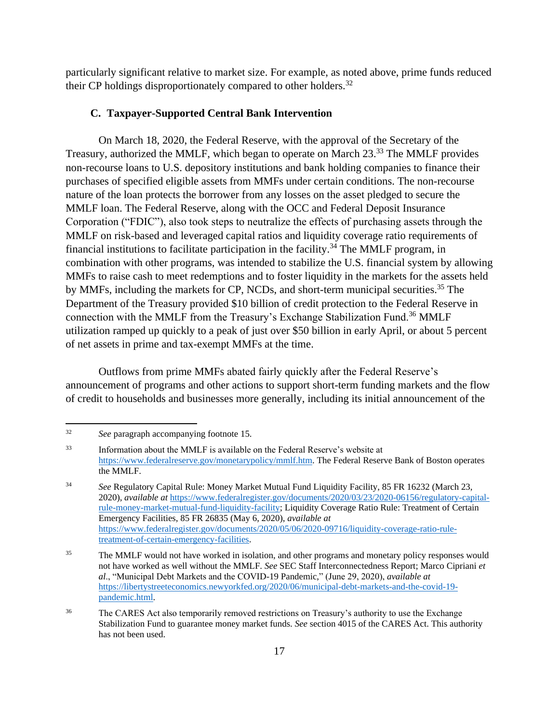particularly significant relative to market size. For example, as noted above, prime funds reduced their CP holdings disproportionately compared to other holders.<sup>32</sup>

#### **C. Taxpayer-Supported Central Bank Intervention**

On March 18, 2020, the Federal Reserve, with the approval of the Secretary of the Treasury, authorized the MMLF, which began to operate on March 23.<sup>33</sup> The MMLF provides non-recourse loans to U.S. depository institutions and bank holding companies to finance their purchases of specified eligible assets from MMFs under certain conditions. The non-recourse nature of the loan protects the borrower from any losses on the asset pledged to secure the MMLF loan. The Federal Reserve, along with the OCC and Federal Deposit Insurance Corporation ("FDIC"), also took steps to neutralize the effects of purchasing assets through the MMLF on risk-based and leveraged capital ratios and liquidity coverage ratio requirements of financial institutions to facilitate participation in the facility.<sup>34</sup> The MMLF program, in combination with other programs, was intended to stabilize the U.S. financial system by allowing MMFs to raise cash to meet redemptions and to foster liquidity in the markets for the assets held by MMFs, including the markets for CP, NCDs, and short-term municipal securities.<sup>35</sup> The Department of the Treasury provided \$10 billion of credit protection to the Federal Reserve in connection with the MMLF from the Treasury's Exchange Stabilization Fund.<sup>36</sup> MMLF utilization ramped up quickly to a peak of just over \$50 billion in early April, or about 5 percent of net assets in prime and tax-exempt MMFs at the time.

Outflows from prime MMFs abated fairly quickly after the Federal Reserve's announcement of programs and other actions to support short-term funding markets and the flow of credit to households and businesses more generally, including its initial announcement of the

<sup>32</sup> *See* paragraph accompanying footnot[e 15.](#page-15-0)

<sup>33</sup> Information about the MMLF is available on the Federal Reserve's website at [https://www.federalreserve.gov/monetarypolicy/mmlf.htm.](https://www.federalreserve.gov/monetarypolicy/mmlf.htm) The Federal Reserve Bank of Boston operates the MMLF.

<sup>34</sup> *See* Regulatory Capital Rule: Money Market Mutual Fund Liquidity Facility, 85 FR 16232 (March 23, 2020), *available at* [https://www.federalregister.gov/documents/2020/03/23/2020-06156/regulatory-capital](https://www.federalregister.gov/documents/2020/03/23/2020-06156/regulatory-capital-rule-money-market-mutual-fund-liquidity-facility)[rule-money-market-mutual-fund-liquidity-facility;](https://www.federalregister.gov/documents/2020/03/23/2020-06156/regulatory-capital-rule-money-market-mutual-fund-liquidity-facility) Liquidity Coverage Ratio Rule: Treatment of Certain Emergency Facilities, 85 FR 26835 (May 6, 2020), *available at* [https://www.federalregister.gov/documents/2020/05/06/2020-09716/liquidity-coverage-ratio-rule](https://www.federalregister.gov/documents/2020/05/06/2020-09716/liquidity-coverage-ratio-rule-treatment-of-certain-emergency-facilities)[treatment-of-certain-emergency-facilities.](https://www.federalregister.gov/documents/2020/05/06/2020-09716/liquidity-coverage-ratio-rule-treatment-of-certain-emergency-facilities)

<sup>&</sup>lt;sup>35</sup> The MMLF would not have worked in isolation, and other programs and monetary policy responses would not have worked as well without the MMLF. *See* SEC Staff Interconnectedness Report; Marco Cipriani *et al*., "Municipal Debt Markets and the COVID-19 Pandemic," (June 29, 2020), *available at* [https://libertystreeteconomics.newyorkfed.org/2020/06/municipal-debt-markets-and-the-covid-19](https://libertystreeteconomics.newyorkfed.org/2020/06/municipal-debt-markets-and-the-covid-19-pandemic.html) [pandemic.html.](https://libertystreeteconomics.newyorkfed.org/2020/06/municipal-debt-markets-and-the-covid-19-pandemic.html)

<sup>&</sup>lt;sup>36</sup> The CARES Act also temporarily removed restrictions on Treasury's authority to use the Exchange Stabilization Fund to guarantee money market funds. *See* section 4015 of the CARES Act. This authority has not been used.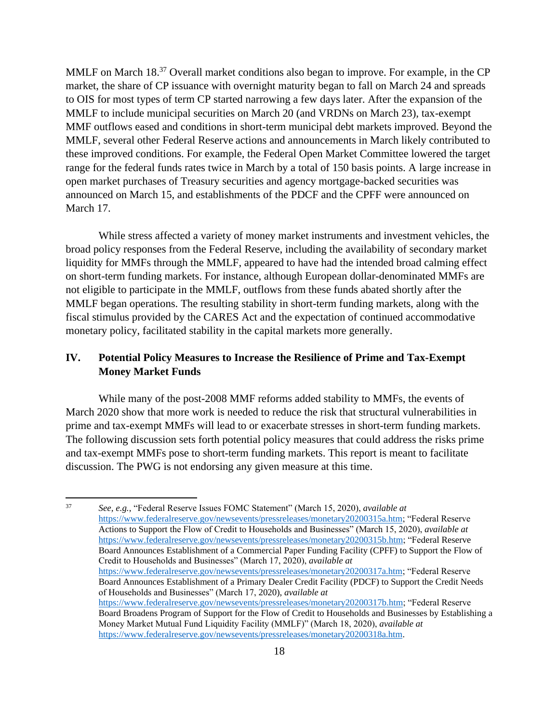MMLF on March 18.<sup>37</sup> Overall market conditions also began to improve. For example, in the CP market, the share of CP issuance with overnight maturity began to fall on March 24 and spreads to OIS for most types of term CP started narrowing a few days later. After the expansion of the MMLF to include municipal securities on March 20 (and VRDNs on March 23), tax-exempt MMF outflows eased and conditions in short-term municipal debt markets improved. Beyond the MMLF, several other Federal Reserve actions and announcements in March likely contributed to these improved conditions. For example, the Federal Open Market Committee lowered the target range for the federal funds rates twice in March by a total of 150 basis points. A large increase in open market purchases of Treasury securities and agency mortgage-backed securities was announced on March 15, and establishments of the PDCF and the CPFF were announced on March 17.

While stress affected a variety of money market instruments and investment vehicles, the broad policy responses from the Federal Reserve, including the availability of secondary market liquidity for MMFs through the MMLF, appeared to have had the intended broad calming effect on short-term funding markets. For instance, although European dollar-denominated MMFs are not eligible to participate in the MMLF, outflows from these funds abated shortly after the MMLF began operations. The resulting stability in short-term funding markets, along with the fiscal stimulus provided by the CARES Act and the expectation of continued accommodative monetary policy, facilitated stability in the capital markets more generally.

# **IV. Potential Policy Measures to Increase the Resilience of Prime and Tax-Exempt Money Market Funds**

While many of the post-2008 MMF reforms added stability to MMFs, the events of March 2020 show that more work is needed to reduce the risk that structural vulnerabilities in prime and tax-exempt MMFs will lead to or exacerbate stresses in short-term funding markets. The following discussion sets forth potential policy measures that could address the risks prime and tax-exempt MMFs pose to short-term funding markets. This report is meant to facilitate discussion. The PWG is not endorsing any given measure at this time.

<sup>37</sup> *See, e.g.*, "Federal Reserve Issues FOMC Statement" (March 15, 2020), *available at* [https://www.federalreserve.gov/newsevents/pressreleases/monetary20200315a.htm;](https://www.federalreserve.gov/newsevents/pressreleases/monetary20200315a.htm) "Federal Reserve Actions to Support the Flow of Credit to Households and Businesses" (March 15, 2020), *available at* [https://www.federalreserve.gov/newsevents/pressreleases/monetary20200315b.htm;](https://www.federalreserve.gov/newsevents/pressreleases/monetary20200315b.htm) "Federal Reserve Board Announces Establishment of a Commercial Paper Funding Facility (CPFF) to Support the Flow of Credit to Households and Businesses" (March 17, 2020), *available at* [https://www.federalreserve.gov/newsevents/pressreleases/monetary20200317a.htm;](https://www.federalreserve.gov/newsevents/pressreleases/monetary20200317a.htm) "Federal Reserve Board Announces Establishment of a Primary Dealer Credit Facility (PDCF) to Support the Credit Needs of Households and Businesses" (March 17, 2020), *available at* [https://www.federalreserve.gov/newsevents/pressreleases/monetary20200317b.htm;](https://www.federalreserve.gov/newsevents/pressreleases/monetary20200317b.htm) "Federal Reserve Board Broadens Program of Support for the Flow of Credit to Households and Businesses by Establishing a Money Market Mutual Fund Liquidity Facility (MMLF)" (March 18, 2020), *available at* [https://www.federalreserve.gov/newsevents/pressreleases/monetary20200318a.htm.](https://www.federalreserve.gov/newsevents/pressreleases/monetary20200318a.htm)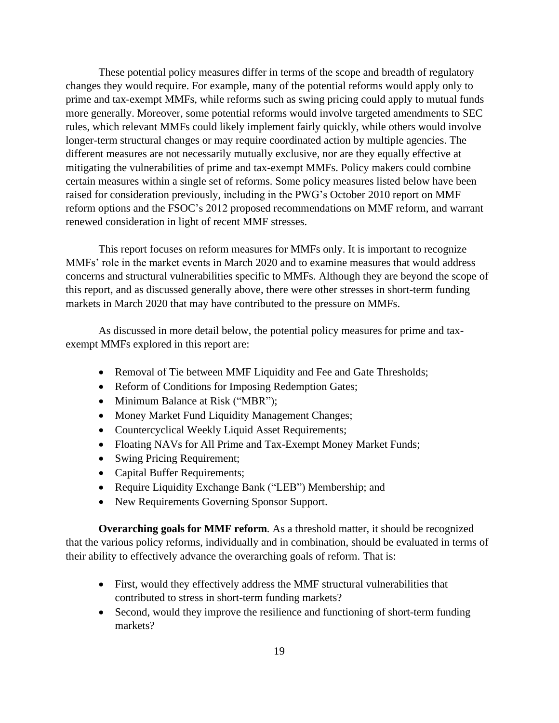These potential policy measures differ in terms of the scope and breadth of regulatory changes they would require. For example, many of the potential reforms would apply only to prime and tax-exempt MMFs, while reforms such as swing pricing could apply to mutual funds more generally. Moreover, some potential reforms would involve targeted amendments to SEC rules, which relevant MMFs could likely implement fairly quickly, while others would involve longer-term structural changes or may require coordinated action by multiple agencies. The different measures are not necessarily mutually exclusive, nor are they equally effective at mitigating the vulnerabilities of prime and tax-exempt MMFs. Policy makers could combine certain measures within a single set of reforms. Some policy measures listed below have been raised for consideration previously, including in the PWG's October 2010 report on MMF reform options and the FSOC's 2012 proposed recommendations on MMF reform, and warrant renewed consideration in light of recent MMF stresses.

This report focuses on reform measures for MMFs only. It is important to recognize MMFs' role in the market events in March 2020 and to examine measures that would address concerns and structural vulnerabilities specific to MMFs. Although they are beyond the scope of this report, and as discussed generally above, there were other stresses in short-term funding markets in March 2020 that may have contributed to the pressure on MMFs.

As discussed in more detail below, the potential policy measures for prime and taxexempt MMFs explored in this report are:

- Removal of Tie between MMF Liquidity and Fee and Gate Thresholds;
- Reform of Conditions for Imposing Redemption Gates;
- Minimum Balance at Risk ("MBR");
- Money Market Fund Liquidity Management Changes;
- Countercyclical Weekly Liquid Asset Requirements;
- Floating NAVs for All Prime and Tax-Exempt Money Market Funds;
- Swing Pricing Requirement;
- Capital Buffer Requirements;
- Require Liquidity Exchange Bank ("LEB") Membership; and
- New Requirements Governing Sponsor Support.

**Overarching goals for MMF reform***.* As a threshold matter, it should be recognized that the various policy reforms, individually and in combination, should be evaluated in terms of their ability to effectively advance the overarching goals of reform. That is:

- First, would they effectively address the MMF structural vulnerabilities that contributed to stress in short-term funding markets?
- Second, would they improve the resilience and functioning of short-term funding markets?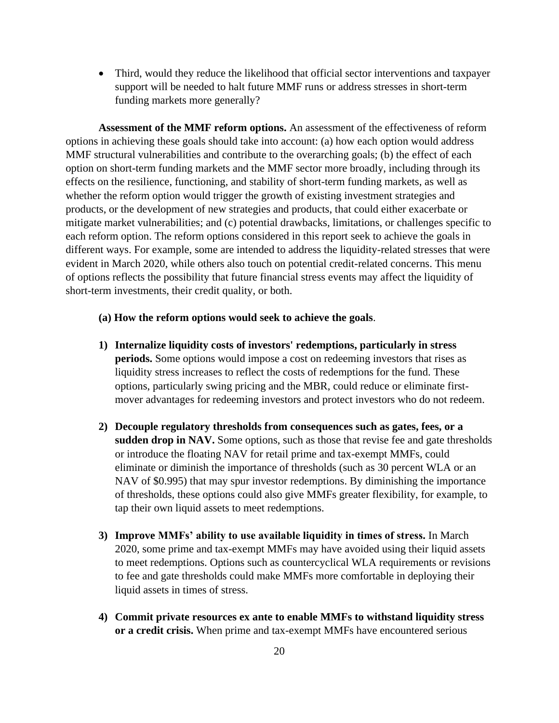• Third, would they reduce the likelihood that official sector interventions and taxpayer support will be needed to halt future MMF runs or address stresses in short-term funding markets more generally?

**Assessment of the MMF reform options.** An assessment of the effectiveness of reform options in achieving these goals should take into account: (a) how each option would address MMF structural vulnerabilities and contribute to the overarching goals; (b) the effect of each option on short-term funding markets and the MMF sector more broadly, including through its effects on the resilience, functioning, and stability of short-term funding markets, as well as whether the reform option would trigger the growth of existing investment strategies and products, or the development of new strategies and products, that could either exacerbate or mitigate market vulnerabilities; and (c) potential drawbacks, limitations, or challenges specific to each reform option. The reform options considered in this report seek to achieve the goals in different ways. For example, some are intended to address the liquidity-related stresses that were evident in March 2020, while others also touch on potential credit-related concerns. This menu of options reflects the possibility that future financial stress events may affect the liquidity of short-term investments, their credit quality, or both.

#### **(a) How the reform options would seek to achieve the goals**.

- **1) Internalize liquidity costs of investors' redemptions, particularly in stress periods.** Some options would impose a cost on redeeming investors that rises as liquidity stress increases to reflect the costs of redemptions for the fund. These options, particularly swing pricing and the MBR, could reduce or eliminate firstmover advantages for redeeming investors and protect investors who do not redeem.
- **2) Decouple regulatory thresholds from consequences such as gates, fees, or a sudden drop in NAV.** Some options, such as those that revise fee and gate thresholds or introduce the floating NAV for retail prime and tax-exempt MMFs, could eliminate or diminish the importance of thresholds (such as 30 percent WLA or an NAV of \$0.995) that may spur investor redemptions. By diminishing the importance of thresholds, these options could also give MMFs greater flexibility, for example, to tap their own liquid assets to meet redemptions.
- **3) Improve MMFs' ability to use available liquidity in times of stress.** In March 2020, some prime and tax-exempt MMFs may have avoided using their liquid assets to meet redemptions. Options such as countercyclical WLA requirements or revisions to fee and gate thresholds could make MMFs more comfortable in deploying their liquid assets in times of stress.
- **4) Commit private resources ex ante to enable MMFs to withstand liquidity stress or a credit crisis.** When prime and tax-exempt MMFs have encountered serious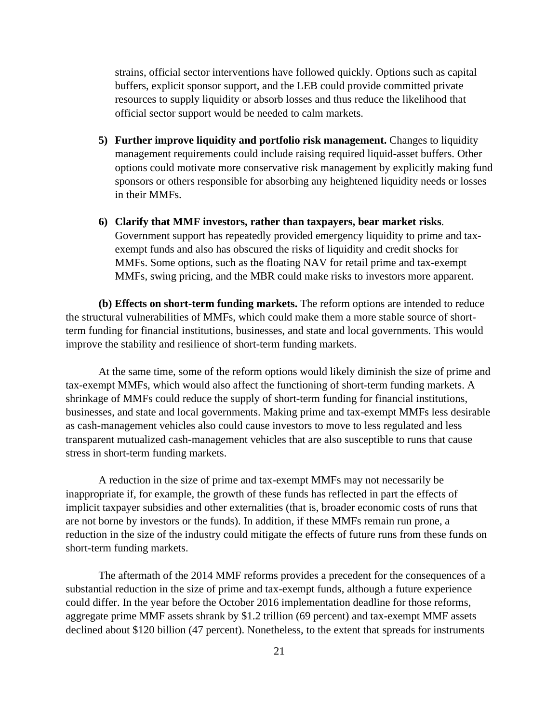strains, official sector interventions have followed quickly. Options such as capital buffers, explicit sponsor support, and the LEB could provide committed private resources to supply liquidity or absorb losses and thus reduce the likelihood that official sector support would be needed to calm markets.

- **5) Further improve liquidity and portfolio risk management.** Changes to liquidity management requirements could include raising required liquid-asset buffers. Other options could motivate more conservative risk management by explicitly making fund sponsors or others responsible for absorbing any heightened liquidity needs or losses in their MMFs.
- **6) Clarify that MMF investors, rather than taxpayers, bear market risks**. Government support has repeatedly provided emergency liquidity to prime and taxexempt funds and also has obscured the risks of liquidity and credit shocks for MMFs. Some options, such as the floating NAV for retail prime and tax-exempt MMFs, swing pricing, and the MBR could make risks to investors more apparent.

**(b) Effects on short-term funding markets.** The reform options are intended to reduce the structural vulnerabilities of MMFs, which could make them a more stable source of shortterm funding for financial institutions, businesses, and state and local governments. This would improve the stability and resilience of short-term funding markets.

At the same time, some of the reform options would likely diminish the size of prime and tax-exempt MMFs, which would also affect the functioning of short-term funding markets. A shrinkage of MMFs could reduce the supply of short-term funding for financial institutions, businesses, and state and local governments. Making prime and tax-exempt MMFs less desirable as cash-management vehicles also could cause investors to move to less regulated and less transparent mutualized cash-management vehicles that are also susceptible to runs that cause stress in short-term funding markets.

A reduction in the size of prime and tax-exempt MMFs may not necessarily be inappropriate if, for example, the growth of these funds has reflected in part the effects of implicit taxpayer subsidies and other externalities (that is, broader economic costs of runs that are not borne by investors or the funds). In addition, if these MMFs remain run prone, a reduction in the size of the industry could mitigate the effects of future runs from these funds on short-term funding markets.

The aftermath of the 2014 MMF reforms provides a precedent for the consequences of a substantial reduction in the size of prime and tax-exempt funds, although a future experience could differ. In the year before the October 2016 implementation deadline for those reforms, aggregate prime MMF assets shrank by \$1.2 trillion (69 percent) and tax-exempt MMF assets declined about \$120 billion (47 percent). Nonetheless, to the extent that spreads for instruments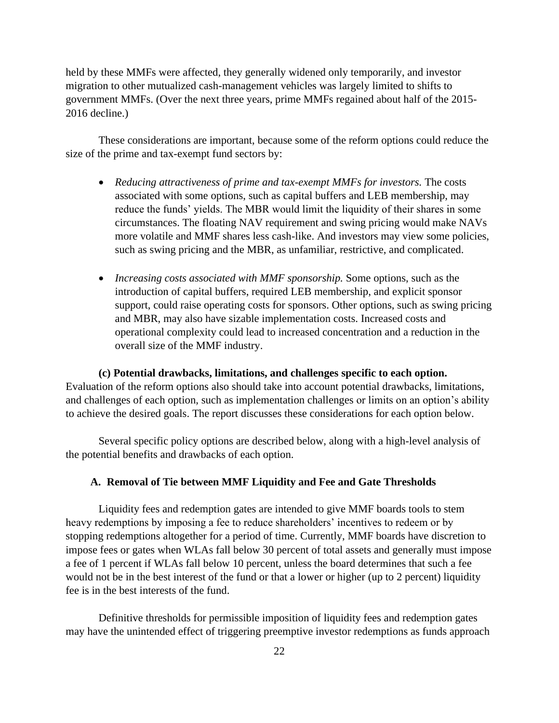held by these MMFs were affected, they generally widened only temporarily, and investor migration to other mutualized cash-management vehicles was largely limited to shifts to government MMFs. (Over the next three years, prime MMFs regained about half of the 2015- 2016 decline.)

These considerations are important, because some of the reform options could reduce the size of the prime and tax-exempt fund sectors by:

- *Reducing attractiveness of prime and tax-exempt MMFs for investors.* The costs associated with some options, such as capital buffers and LEB membership, may reduce the funds' yields. The MBR would limit the liquidity of their shares in some circumstances. The floating NAV requirement and swing pricing would make NAVs more volatile and MMF shares less cash-like. And investors may view some policies, such as swing pricing and the MBR, as unfamiliar, restrictive, and complicated.
- *Increasing costs associated with MMF sponsorship.* Some options, such as the introduction of capital buffers, required LEB membership, and explicit sponsor support, could raise operating costs for sponsors. Other options, such as swing pricing and MBR, may also have sizable implementation costs. Increased costs and operational complexity could lead to increased concentration and a reduction in the overall size of the MMF industry.

**(c) Potential drawbacks, limitations, and challenges specific to each option.** Evaluation of the reform options also should take into account potential drawbacks, limitations, and challenges of each option, such as implementation challenges or limits on an option's ability to achieve the desired goals. The report discusses these considerations for each option below.

Several specific policy options are described below, along with a high-level analysis of the potential benefits and drawbacks of each option.

## **A. Removal of Tie between MMF Liquidity and Fee and Gate Thresholds**

Liquidity fees and redemption gates are intended to give MMF boards tools to stem heavy redemptions by imposing a fee to reduce shareholders' incentives to redeem or by stopping redemptions altogether for a period of time. Currently, MMF boards have discretion to impose fees or gates when WLAs fall below 30 percent of total assets and generally must impose a fee of 1 percent if WLAs fall below 10 percent, unless the board determines that such a fee would not be in the best interest of the fund or that a lower or higher (up to 2 percent) liquidity fee is in the best interests of the fund.

Definitive thresholds for permissible imposition of liquidity fees and redemption gates may have the unintended effect of triggering preemptive investor redemptions as funds approach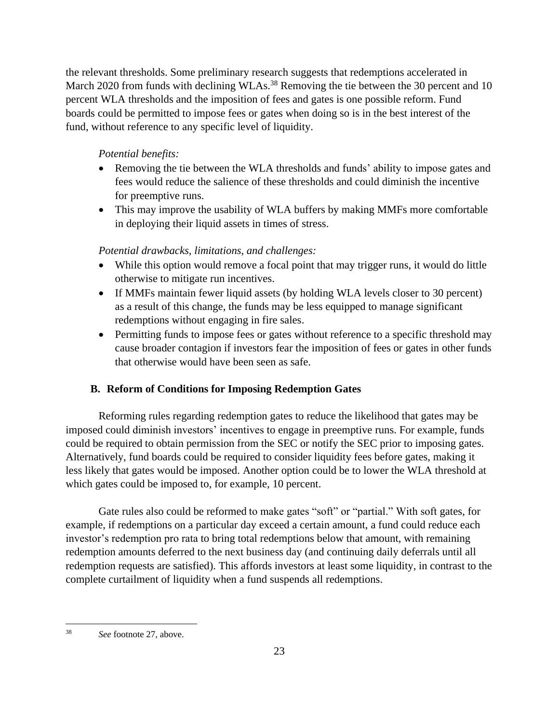the relevant thresholds. Some preliminary research suggests that redemptions accelerated in March 2020 from funds with declining WLAs.<sup>38</sup> Removing the tie between the 30 percent and 10 percent WLA thresholds and the imposition of fees and gates is one possible reform. Fund boards could be permitted to impose fees or gates when doing so is in the best interest of the fund, without reference to any specific level of liquidity.

# *Potential benefits:*

- Removing the tie between the WLA thresholds and funds' ability to impose gates and fees would reduce the salience of these thresholds and could diminish the incentive for preemptive runs.
- This may improve the usability of WLA buffers by making MMFs more comfortable in deploying their liquid assets in times of stress.

# *Potential drawbacks, limitations, and challenges:*

- While this option would remove a focal point that may trigger runs, it would do little otherwise to mitigate run incentives.
- If MMFs maintain fewer liquid assets (by holding WLA levels closer to 30 percent) as a result of this change, the funds may be less equipped to manage significant redemptions without engaging in fire sales.
- Permitting funds to impose fees or gates without reference to a specific threshold may cause broader contagion if investors fear the imposition of fees or gates in other funds that otherwise would have been seen as safe.

# **B. Reform of Conditions for Imposing Redemption Gates**

Reforming rules regarding redemption gates to reduce the likelihood that gates may be imposed could diminish investors' incentives to engage in preemptive runs. For example, funds could be required to obtain permission from the SEC or notify the SEC prior to imposing gates. Alternatively, fund boards could be required to consider liquidity fees before gates, making it less likely that gates would be imposed. Another option could be to lower the WLA threshold at which gates could be imposed to, for example, 10 percent.

Gate rules also could be reformed to make gates "soft" or "partial." With soft gates, for example, if redemptions on a particular day exceed a certain amount, a fund could reduce each investor's redemption pro rata to bring total redemptions below that amount, with remaining redemption amounts deferred to the next business day (and continuing daily deferrals until all redemption requests are satisfied). This affords investors at least some liquidity, in contrast to the complete curtailment of liquidity when a fund suspends all redemptions.

<sup>38</sup> *See* footnote [27,](#page-20-0) above.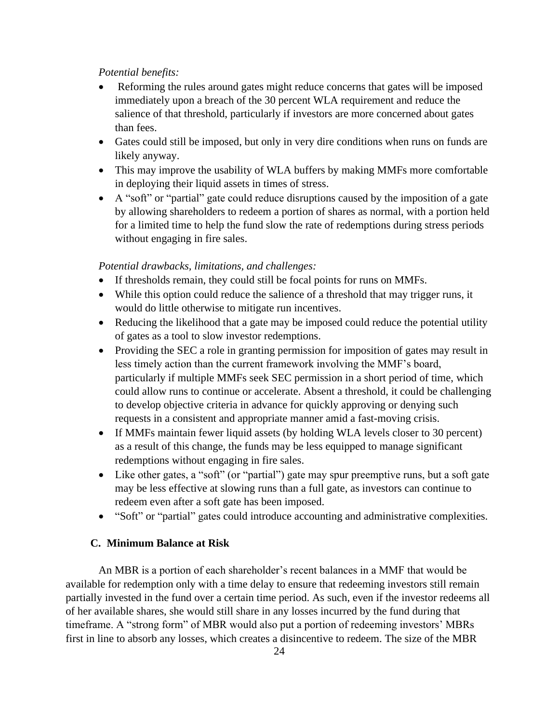- Reforming the rules around gates might reduce concerns that gates will be imposed immediately upon a breach of the 30 percent WLA requirement and reduce the salience of that threshold, particularly if investors are more concerned about gates than fees.
- Gates could still be imposed, but only in very dire conditions when runs on funds are likely anyway.
- This may improve the usability of WLA buffers by making MMFs more comfortable in deploying their liquid assets in times of stress.
- A "soft" or "partial" gate could reduce disruptions caused by the imposition of a gate by allowing shareholders to redeem a portion of shares as normal, with a portion held for a limited time to help the fund slow the rate of redemptions during stress periods without engaging in fire sales.

#### *Potential drawbacks, limitations, and challenges:*

- If thresholds remain, they could still be focal points for runs on MMFs.
- While this option could reduce the salience of a threshold that may trigger runs, it would do little otherwise to mitigate run incentives.
- Reducing the likelihood that a gate may be imposed could reduce the potential utility of gates as a tool to slow investor redemptions.
- Providing the SEC a role in granting permission for imposition of gates may result in less timely action than the current framework involving the MMF's board, particularly if multiple MMFs seek SEC permission in a short period of time, which could allow runs to continue or accelerate. Absent a threshold, it could be challenging to develop objective criteria in advance for quickly approving or denying such requests in a consistent and appropriate manner amid a fast-moving crisis.
- If MMFs maintain fewer liquid assets (by holding WLA levels closer to 30 percent) as a result of this change, the funds may be less equipped to manage significant redemptions without engaging in fire sales.
- Like other gates, a "soft" (or "partial") gate may spur preemptive runs, but a soft gate may be less effective at slowing runs than a full gate, as investors can continue to redeem even after a soft gate has been imposed.
- "Soft" or "partial" gates could introduce accounting and administrative complexities.

# **C. Minimum Balance at Risk**

An MBR is a portion of each shareholder's recent balances in a MMF that would be available for redemption only with a time delay to ensure that redeeming investors still remain partially invested in the fund over a certain time period. As such, even if the investor redeems all of her available shares, she would still share in any losses incurred by the fund during that timeframe. A "strong form" of MBR would also put a portion of redeeming investors' MBRs first in line to absorb any losses, which creates a disincentive to redeem. The size of the MBR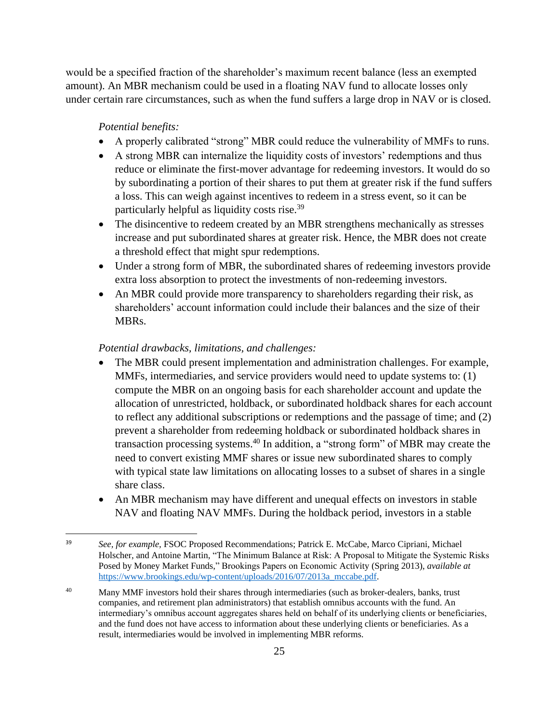would be a specified fraction of the shareholder's maximum recent balance (less an exempted amount). An MBR mechanism could be used in a floating NAV fund to allocate losses only under certain rare circumstances, such as when the fund suffers a large drop in NAV or is closed.

#### *Potential benefits:*

- A properly calibrated "strong" MBR could reduce the vulnerability of MMFs to runs.
- A strong MBR can internalize the liquidity costs of investors' redemptions and thus reduce or eliminate the first-mover advantage for redeeming investors. It would do so by subordinating a portion of their shares to put them at greater risk if the fund suffers a loss. This can weigh against incentives to redeem in a stress event, so it can be particularly helpful as liquidity costs rise.<sup>39</sup>
- The disincentive to redeem created by an MBR strengthens mechanically as stresses increase and put subordinated shares at greater risk. Hence, the MBR does not create a threshold effect that might spur redemptions.
- Under a strong form of MBR, the subordinated shares of redeeming investors provide extra loss absorption to protect the investments of non-redeeming investors.
- An MBR could provide more transparency to shareholders regarding their risk, as shareholders' account information could include their balances and the size of their MBRs.

## *Potential drawbacks, limitations, and challenges:*

- The MBR could present implementation and administration challenges. For example, MMFs, intermediaries, and service providers would need to update systems to: (1) compute the MBR on an ongoing basis for each shareholder account and update the allocation of unrestricted, holdback, or subordinated holdback shares for each account to reflect any additional subscriptions or redemptions and the passage of time; and (2) prevent a shareholder from redeeming holdback or subordinated holdback shares in transaction processing systems. <sup>40</sup> In addition, a "strong form" of MBR may create the need to convert existing MMF shares or issue new subordinated shares to comply with typical state law limitations on allocating losses to a subset of shares in a single share class.
- An MBR mechanism may have different and unequal effects on investors in stable NAV and floating NAV MMFs. During the holdback period, investors in a stable

<sup>39</sup> *See, for example,* FSOC Proposed Recommendations; Patrick E. McCabe, Marco Cipriani, Michael Holscher, and Antoine Martin, "The Minimum Balance at Risk: A Proposal to Mitigate the Systemic Risks Posed by Money Market Funds," Brookings Papers on Economic Activity (Spring 2013), *available at*  [https://www.brookings.edu/wp-content/uploads/2016/07/2013a\\_mccabe.pdf.](https://www.brookings.edu/wp-content/uploads/2016/07/2013a_mccabe.pdf)

<sup>&</sup>lt;sup>40</sup> Many MMF investors hold their shares through intermediaries (such as broker-dealers, banks, trust companies, and retirement plan administrators) that establish omnibus accounts with the fund. An intermediary's omnibus account aggregates shares held on behalf of its underlying clients or beneficiaries, and the fund does not have access to information about these underlying clients or beneficiaries. As a result, intermediaries would be involved in implementing MBR reforms.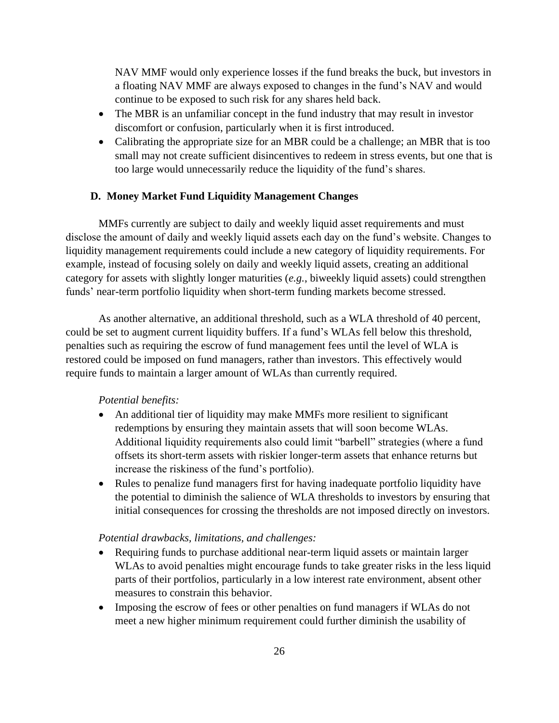NAV MMF would only experience losses if the fund breaks the buck, but investors in a floating NAV MMF are always exposed to changes in the fund's NAV and would continue to be exposed to such risk for any shares held back.

- The MBR is an unfamiliar concept in the fund industry that may result in investor discomfort or confusion, particularly when it is first introduced.
- Calibrating the appropriate size for an MBR could be a challenge; an MBR that is too small may not create sufficient disincentives to redeem in stress events, but one that is too large would unnecessarily reduce the liquidity of the fund's shares.

# **D. Money Market Fund Liquidity Management Changes**

MMFs currently are subject to daily and weekly liquid asset requirements and must disclose the amount of daily and weekly liquid assets each day on the fund's website. Changes to liquidity management requirements could include a new category of liquidity requirements. For example, instead of focusing solely on daily and weekly liquid assets, creating an additional category for assets with slightly longer maturities (*e.g.*, biweekly liquid assets) could strengthen funds' near-term portfolio liquidity when short-term funding markets become stressed.

As another alternative, an additional threshold, such as a WLA threshold of 40 percent, could be set to augment current liquidity buffers. If a fund's WLAs fell below this threshold, penalties such as requiring the escrow of fund management fees until the level of WLA is restored could be imposed on fund managers, rather than investors. This effectively would require funds to maintain a larger amount of WLAs than currently required.

### *Potential benefits:*

- An additional tier of liquidity may make MMFs more resilient to significant redemptions by ensuring they maintain assets that will soon become WLAs. Additional liquidity requirements also could limit "barbell" strategies (where a fund offsets its short-term assets with riskier longer-term assets that enhance returns but increase the riskiness of the fund's portfolio).
- Rules to penalize fund managers first for having inadequate portfolio liquidity have the potential to diminish the salience of WLA thresholds to investors by ensuring that initial consequences for crossing the thresholds are not imposed directly on investors.

### *Potential drawbacks, limitations, and challenges:*

- Requiring funds to purchase additional near-term liquid assets or maintain larger WLAs to avoid penalties might encourage funds to take greater risks in the less liquid parts of their portfolios, particularly in a low interest rate environment, absent other measures to constrain this behavior.
- Imposing the escrow of fees or other penalties on fund managers if WLAs do not meet a new higher minimum requirement could further diminish the usability of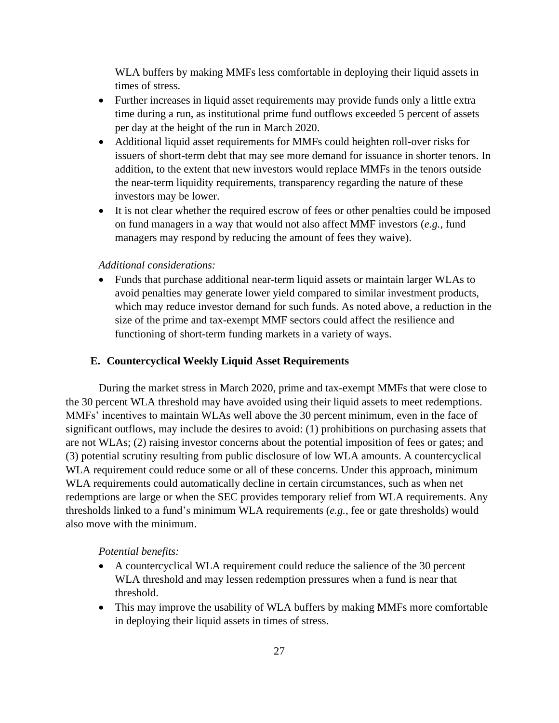WLA buffers by making MMFs less comfortable in deploying their liquid assets in times of stress.

- Further increases in liquid asset requirements may provide funds only a little extra time during a run, as institutional prime fund outflows exceeded 5 percent of assets per day at the height of the run in March 2020.
- Additional liquid asset requirements for MMFs could heighten roll-over risks for issuers of short-term debt that may see more demand for issuance in shorter tenors. In addition, to the extent that new investors would replace MMFs in the tenors outside the near-term liquidity requirements, transparency regarding the nature of these investors may be lower.
- It is not clear whether the required escrow of fees or other penalties could be imposed on fund managers in a way that would not also affect MMF investors (*e.g.*, fund managers may respond by reducing the amount of fees they waive).

#### *Additional considerations:*

• Funds that purchase additional near-term liquid assets or maintain larger WLAs to avoid penalties may generate lower yield compared to similar investment products, which may reduce investor demand for such funds. As noted above, a reduction in the size of the prime and tax-exempt MMF sectors could affect the resilience and functioning of short-term funding markets in a variety of ways.

#### **E. Countercyclical Weekly Liquid Asset Requirements**

During the market stress in March 2020, prime and tax-exempt MMFs that were close to the 30 percent WLA threshold may have avoided using their liquid assets to meet redemptions. MMFs' incentives to maintain WLAs well above the 30 percent minimum, even in the face of significant outflows, may include the desires to avoid: (1) prohibitions on purchasing assets that are not WLAs; (2) raising investor concerns about the potential imposition of fees or gates; and (3) potential scrutiny resulting from public disclosure of low WLA amounts. A countercyclical WLA requirement could reduce some or all of these concerns. Under this approach, minimum WLA requirements could automatically decline in certain circumstances, such as when net redemptions are large or when the SEC provides temporary relief from WLA requirements. Any thresholds linked to a fund's minimum WLA requirements (*e.g.*, fee or gate thresholds) would also move with the minimum.

#### *Potential benefits:*

- A countercyclical WLA requirement could reduce the salience of the 30 percent WLA threshold and may lessen redemption pressures when a fund is near that threshold.
- This may improve the usability of WLA buffers by making MMFs more comfortable in deploying their liquid assets in times of stress.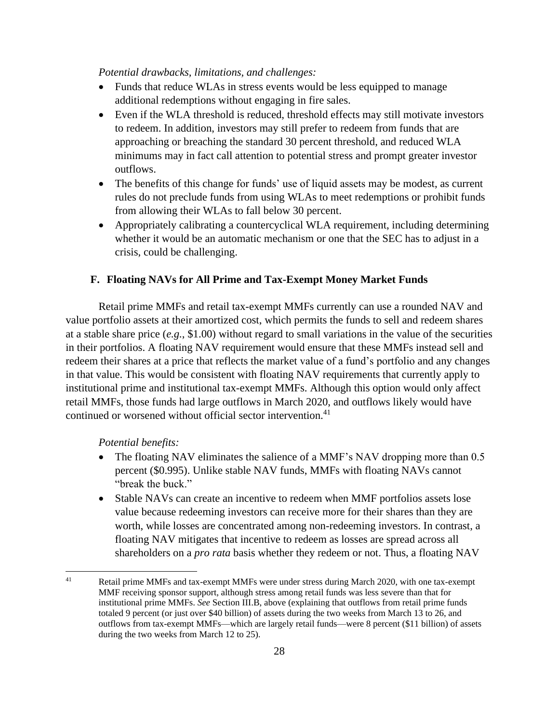# *Potential drawbacks, limitations, and challenges:*

- Funds that reduce WLAs in stress events would be less equipped to manage additional redemptions without engaging in fire sales.
- Even if the WLA threshold is reduced, threshold effects may still motivate investors to redeem. In addition, investors may still prefer to redeem from funds that are approaching or breaching the standard 30 percent threshold, and reduced WLA minimums may in fact call attention to potential stress and prompt greater investor outflows.
- The benefits of this change for funds' use of liquid assets may be modest, as current rules do not preclude funds from using WLAs to meet redemptions or prohibit funds from allowing their WLAs to fall below 30 percent.
- Appropriately calibrating a countercyclical WLA requirement, including determining whether it would be an automatic mechanism or one that the SEC has to adjust in a crisis, could be challenging.

# **F. Floating NAVs for All Prime and Tax-Exempt Money Market Funds**

Retail prime MMFs and retail tax-exempt MMFs currently can use a rounded NAV and value portfolio assets at their amortized cost, which permits the funds to sell and redeem shares at a stable share price (*e.g.*, \$1.00) without regard to small variations in the value of the securities in their portfolios. A floating NAV requirement would ensure that these MMFs instead sell and redeem their shares at a price that reflects the market value of a fund's portfolio and any changes in that value. This would be consistent with floating NAV requirements that currently apply to institutional prime and institutional tax-exempt MMFs. Although this option would only affect retail MMFs, those funds had large outflows in March 2020, and outflows likely would have continued or worsened without official sector intervention.<sup>41</sup>

#### *Potential benefits:*

- The floating NAV eliminates the salience of a MMF's NAV dropping more than 0.5 percent (\$0.995). Unlike stable NAV funds, MMFs with floating NAVs cannot "break the buck."
- Stable NAVs can create an incentive to redeem when MMF portfolios assets lose value because redeeming investors can receive more for their shares than they are worth, while losses are concentrated among non-redeeming investors. In contrast, a floating NAV mitigates that incentive to redeem as losses are spread across all shareholders on a *pro rata* basis whether they redeem or not. Thus, a floating NAV

<sup>&</sup>lt;sup>41</sup> Retail prime MMFs and tax-exempt MMFs were under stress during March 2020, with one tax-exempt MMF receiving sponsor support, although stress among retail funds was less severe than that for institutional prime MMFs. *See* Section [III.B,](#page-18-0) above (explaining that outflows from retail prime funds totaled 9 percent (or just over \$40 billion) of assets during the two weeks from March 13 to 26, and outflows from tax-exempt MMFs—which are largely retail funds—were 8 percent (\$11 billion) of assets during the two weeks from March 12 to 25).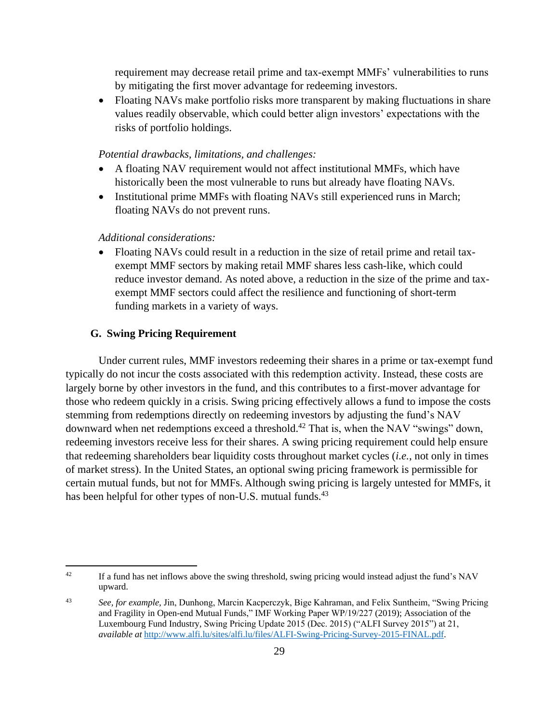requirement may decrease retail prime and tax-exempt MMFs' vulnerabilities to runs by mitigating the first mover advantage for redeeming investors.

• Floating NAVs make portfolio risks more transparent by making fluctuations in share values readily observable, which could better align investors' expectations with the risks of portfolio holdings.

#### *Potential drawbacks, limitations, and challenges:*

- A floating NAV requirement would not affect institutional MMFs, which have historically been the most vulnerable to runs but already have floating NAVs.
- Institutional prime MMFs with floating NAVs still experienced runs in March; floating NAVs do not prevent runs.

## *Additional considerations:*

• Floating NAVs could result in a reduction in the size of retail prime and retail taxexempt MMF sectors by making retail MMF shares less cash-like, which could reduce investor demand. As noted above, a reduction in the size of the prime and taxexempt MMF sectors could affect the resilience and functioning of short-term funding markets in a variety of ways.

# **G. Swing Pricing Requirement**

Under current rules, MMF investors redeeming their shares in a prime or tax-exempt fund typically do not incur the costs associated with this redemption activity. Instead, these costs are largely borne by other investors in the fund, and this contributes to a first-mover advantage for those who redeem quickly in a crisis. Swing pricing effectively allows a fund to impose the costs stemming from redemptions directly on redeeming investors by adjusting the fund's NAV downward when net redemptions exceed a threshold.<sup>42</sup> That is, when the NAV "swings" down, redeeming investors receive less for their shares. A swing pricing requirement could help ensure that redeeming shareholders bear liquidity costs throughout market cycles (*i.e.*, not only in times of market stress). In the United States, an optional swing pricing framework is permissible for certain mutual funds, but not for MMFs. Although swing pricing is largely untested for MMFs, it has been helpful for other types of non-U.S. mutual funds.<sup>43</sup>

<sup>&</sup>lt;sup>42</sup> If a fund has net inflows above the swing threshold, swing pricing would instead adjust the fund's NAV upward.

<sup>43</sup> *See, for example,* Jin, Dunhong, Marcin Kacperczyk, Bige Kahraman, and Felix Suntheim, "Swing Pricing and Fragility in Open-end Mutual Funds," IMF Working Paper WP/19/227 (2019); Association of the Luxembourg Fund Industry, Swing Pricing Update 2015 (Dec. 2015) ("ALFI Survey 2015") at 21, *available at* [http://www.alfi.lu/sites/alfi.lu/files/ALFI-Swing-Pricing-Survey-2015-FINAL.pdf.](http://www.alfi.lu/sites/alfi.lu/files/ALFI-Swing-Pricing-Survey-2015-FINAL.pdf)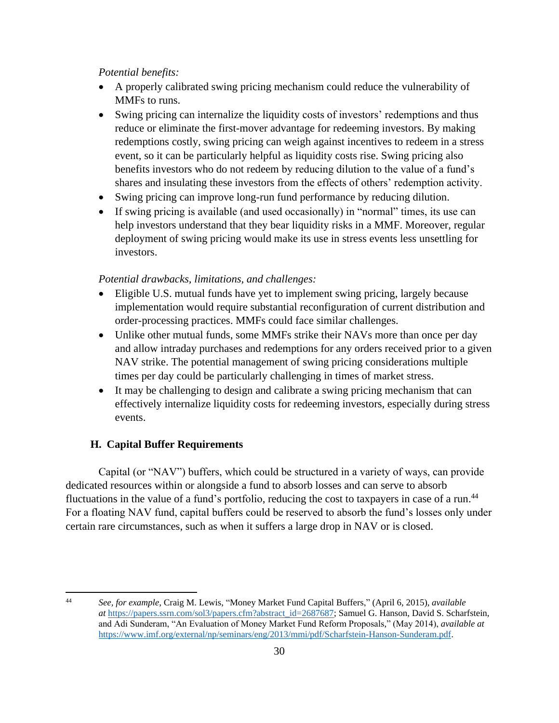- A properly calibrated swing pricing mechanism could reduce the vulnerability of MMFs to runs.
- Swing pricing can internalize the liquidity costs of investors' redemptions and thus reduce or eliminate the first-mover advantage for redeeming investors. By making redemptions costly, swing pricing can weigh against incentives to redeem in a stress event, so it can be particularly helpful as liquidity costs rise. Swing pricing also benefits investors who do not redeem by reducing dilution to the value of a fund's shares and insulating these investors from the effects of others' redemption activity.
- Swing pricing can improve long-run fund performance by reducing dilution.
- If swing pricing is available (and used occasionally) in "normal" times, its use can help investors understand that they bear liquidity risks in a MMF. Moreover, regular deployment of swing pricing would make its use in stress events less unsettling for investors.

# *Potential drawbacks, limitations, and challenges:*

- Eligible U.S. mutual funds have yet to implement swing pricing, largely because implementation would require substantial reconfiguration of current distribution and order-processing practices. MMFs could face similar challenges.
- Unlike other mutual funds, some MMFs strike their NAVs more than once per day and allow intraday purchases and redemptions for any orders received prior to a given NAV strike. The potential management of swing pricing considerations multiple times per day could be particularly challenging in times of market stress.
- It may be challenging to design and calibrate a swing pricing mechanism that can effectively internalize liquidity costs for redeeming investors, especially during stress events.

# **H. Capital Buffer Requirements**

Capital (or "NAV") buffers, which could be structured in a variety of ways, can provide dedicated resources within or alongside a fund to absorb losses and can serve to absorb fluctuations in the value of a fund's portfolio, reducing the cost to taxpayers in case of a run.<sup>44</sup> For a floating NAV fund, capital buffers could be reserved to absorb the fund's losses only under certain rare circumstances, such as when it suffers a large drop in NAV or is closed.

<sup>44</sup> *See, for example*, Craig M. Lewis, "Money Market Fund Capital Buffers," (April 6, 2015), *available at* [https://papers.ssrn.com/sol3/papers.cfm?abstract\\_id=2687687;](https://papers.ssrn.com/sol3/papers.cfm?abstract_id=2687687) Samuel G. Hanson, David S. Scharfstein, and Adi Sunderam, "An Evaluation of Money Market Fund Reform Proposals," (May 2014), *available at* [https://www.imf.org/external/np/seminars/eng/2013/mmi/pdf/Scharfstein-Hanson-Sunderam.pdf.](https://www.imf.org/external/np/seminars/eng/2013/mmi/pdf/Scharfstein-Hanson-Sunderam.pdf)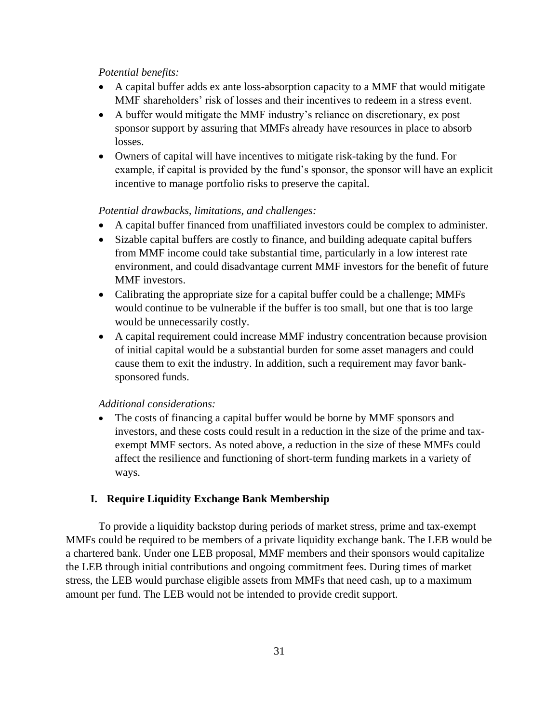- A capital buffer adds ex ante loss-absorption capacity to a MMF that would mitigate MMF shareholders' risk of losses and their incentives to redeem in a stress event.
- A buffer would mitigate the MMF industry's reliance on discretionary, ex post sponsor support by assuring that MMFs already have resources in place to absorb losses.
- Owners of capital will have incentives to mitigate risk-taking by the fund. For example, if capital is provided by the fund's sponsor, the sponsor will have an explicit incentive to manage portfolio risks to preserve the capital.

# *Potential drawbacks, limitations, and challenges:*

- A capital buffer financed from unaffiliated investors could be complex to administer.
- Sizable capital buffers are costly to finance, and building adequate capital buffers from MMF income could take substantial time, particularly in a low interest rate environment, and could disadvantage current MMF investors for the benefit of future MMF investors.
- Calibrating the appropriate size for a capital buffer could be a challenge; MMFs would continue to be vulnerable if the buffer is too small, but one that is too large would be unnecessarily costly.
- A capital requirement could increase MMF industry concentration because provision of initial capital would be a substantial burden for some asset managers and could cause them to exit the industry. In addition, such a requirement may favor banksponsored funds.

#### *Additional considerations:*

• The costs of financing a capital buffer would be borne by MMF sponsors and investors, and these costs could result in a reduction in the size of the prime and taxexempt MMF sectors. As noted above, a reduction in the size of these MMFs could affect the resilience and functioning of short-term funding markets in a variety of ways.

#### **I. Require Liquidity Exchange Bank Membership**

To provide a liquidity backstop during periods of market stress, prime and tax-exempt MMFs could be required to be members of a private liquidity exchange bank. The LEB would be a chartered bank. Under one LEB proposal, MMF members and their sponsors would capitalize the LEB through initial contributions and ongoing commitment fees. During times of market stress, the LEB would purchase eligible assets from MMFs that need cash, up to a maximum amount per fund. The LEB would not be intended to provide credit support.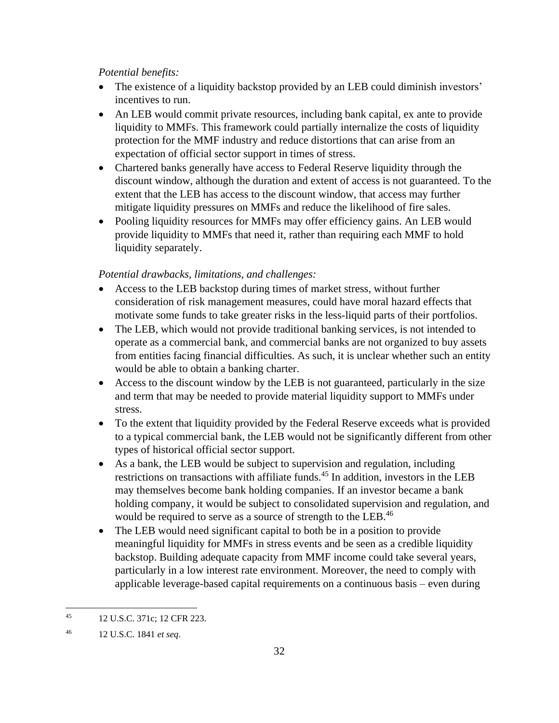- The existence of a liquidity backstop provided by an LEB could diminish investors' incentives to run.
- An LEB would commit private resources, including bank capital, ex ante to provide liquidity to MMFs. This framework could partially internalize the costs of liquidity protection for the MMF industry and reduce distortions that can arise from an expectation of official sector support in times of stress.
- Chartered banks generally have access to Federal Reserve liquidity through the discount window, although the duration and extent of access is not guaranteed. To the extent that the LEB has access to the discount window, that access may further mitigate liquidity pressures on MMFs and reduce the likelihood of fire sales.
- Pooling liquidity resources for MMFs may offer efficiency gains. An LEB would provide liquidity to MMFs that need it, rather than requiring each MMF to hold liquidity separately.

# *Potential drawbacks, limitations, and challenges:*

- Access to the LEB backstop during times of market stress, without further consideration of risk management measures, could have moral hazard effects that motivate some funds to take greater risks in the less-liquid parts of their portfolios.
- The LEB, which would not provide traditional banking services, is not intended to operate as a commercial bank, and commercial banks are not organized to buy assets from entities facing financial difficulties. As such, it is unclear whether such an entity would be able to obtain a banking charter.
- Access to the discount window by the LEB is not guaranteed, particularly in the size and term that may be needed to provide material liquidity support to MMFs under stress.
- To the extent that liquidity provided by the Federal Reserve exceeds what is provided to a typical commercial bank, the LEB would not be significantly different from other types of historical official sector support.
- As a bank, the LEB would be subject to supervision and regulation, including restrictions on transactions with affiliate funds.<sup>45</sup> In addition, investors in the LEB may themselves become bank holding companies. If an investor became a bank holding company, it would be subject to consolidated supervision and regulation, and would be required to serve as a source of strength to the LEB.<sup>46</sup>
- The LEB would need significant capital to both be in a position to provide meaningful liquidity for MMFs in stress events and be seen as a credible liquidity backstop. Building adequate capacity from MMF income could take several years, particularly in a low interest rate environment. Moreover, the need to comply with applicable leverage-based capital requirements on a continuous basis – even during

<sup>45</sup> 12 U.S.C. 371c; 12 CFR 223.

<sup>46</sup> 12 U.S.C. 1841 *et seq*.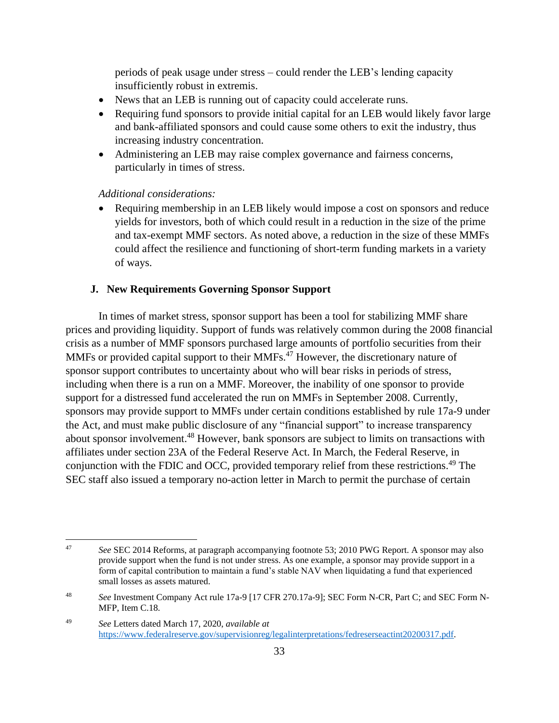periods of peak usage under stress – could render the LEB's lending capacity insufficiently robust in extremis.

- News that an LEB is running out of capacity could accelerate runs.
- Requiring fund sponsors to provide initial capital for an LEB would likely favor large and bank-affiliated sponsors and could cause some others to exit the industry, thus increasing industry concentration.
- Administering an LEB may raise complex governance and fairness concerns, particularly in times of stress.

# *Additional considerations:*

• Requiring membership in an LEB likely would impose a cost on sponsors and reduce yields for investors, both of which could result in a reduction in the size of the prime and tax-exempt MMF sectors. As noted above, a reduction in the size of these MMFs could affect the resilience and functioning of short-term funding markets in a variety of ways.

# **J. New Requirements Governing Sponsor Support**

In times of market stress, sponsor support has been a tool for stabilizing MMF share prices and providing liquidity. Support of funds was relatively common during the 2008 financial crisis as a number of MMF sponsors purchased large amounts of portfolio securities from their MMFs or provided capital support to their MMFs.<sup>47</sup> However, the discretionary nature of sponsor support contributes to uncertainty about who will bear risks in periods of stress, including when there is a run on a MMF. Moreover, the inability of one sponsor to provide support for a distressed fund accelerated the run on MMFs in September 2008. Currently, sponsors may provide support to MMFs under certain conditions established by rule 17a-9 under the Act, and must make public disclosure of any "financial support" to increase transparency about sponsor involvement.<sup>48</sup> However, bank sponsors are subject to limits on transactions with affiliates under section 23A of the Federal Reserve Act. In March, the Federal Reserve, in conjunction with the FDIC and OCC, provided temporary relief from these restrictions.<sup>49</sup> The SEC staff also issued a temporary no-action letter in March to permit the purchase of certain

<sup>47</sup> *See* SEC 2014 Reforms, at paragraph accompanying footnote 53; 2010 PWG Report. A sponsor may also provide support when the fund is not under stress. As one example, a sponsor may provide support in a form of capital contribution to maintain a fund's stable NAV when liquidating a fund that experienced small losses as assets matured.

<sup>48</sup> *See* Investment Company Act rule 17a-9 [17 CFR 270.17a-9]; SEC Form N-CR, Part C; and SEC Form N-MFP, Item C.18.

<sup>49</sup> *See* Letters dated March 17, 2020, *available at* [https://www.federalreserve.gov/supervisionreg/legalinterpretations/fedreserseactint20200317.pdf.](https://www.federalreserve.gov/supervisionreg/legalinterpretations/fedreserseactint20200317.pdf)